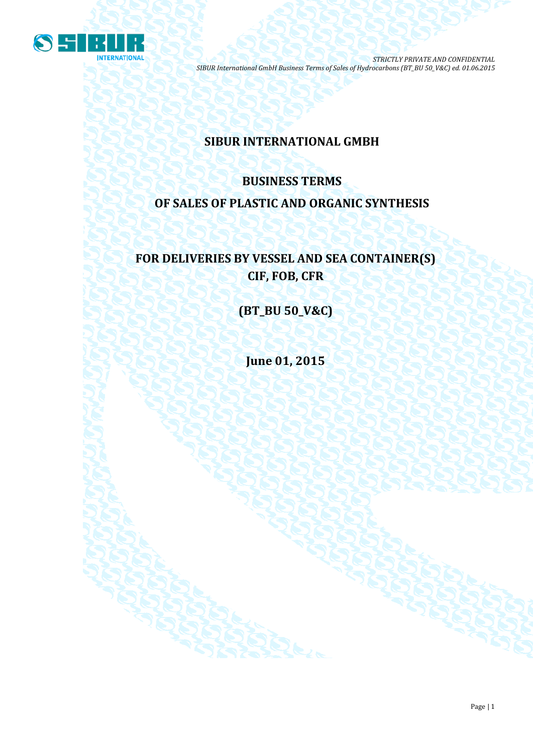

# **SIBUR INTERNATIONAL GMBH**

# **BUSINESS TERMS OF SALES OF PLASTIC AND ORGANIC SYNTHESIS**

# **FOR DELIVERIES BY VESSEL AND SEA CONTAINER(S) CIF, FOB, CFR**

**(BT\_BU 50\_V&C)**

**June 01, 2015**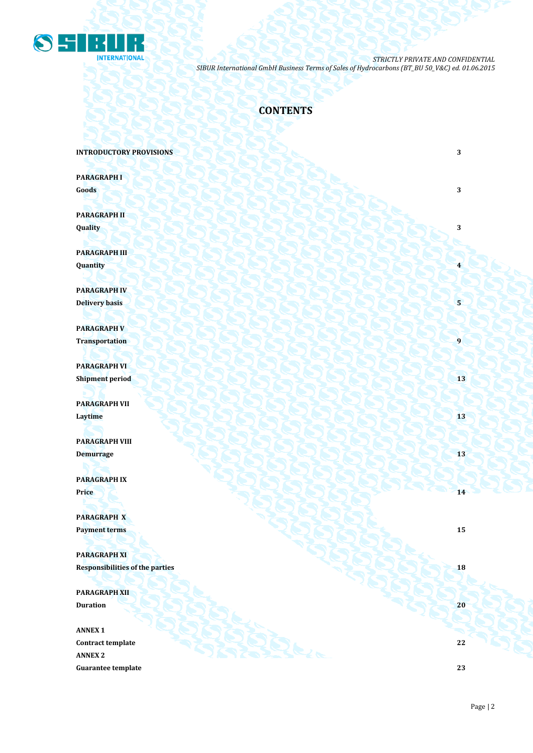

## **CONTENTS**

**INTRODUCTORY PROVISIONS** 3

**PARAGRAPH I Goods 3 3** 

**PARAGRAPH II Quality 3**

**PARAGRAPH III Quantity 4**

**PARAGRAPH IV Delivery basis 5 5** 

**PARAGRAPH V Transportation 1** 

**PARAGRAPH VI Shipment period 13** 

**PARAGRAPH VII Laytime** 13 **13** 

**PARAGRAPH VIII Demurrage 13 13 14 14 14 14 15 14 15 15 15 15 15 15 15** 

**PARAGRAPH IX Price 14** *Price* **14** 

**PARAGRAPH X Payment terms 15** 

**PARAGRAPH XI Responsibilities of the parties 18** 

**PARAGRAPH XII Duration 20**

**ANNEX 1 Contract template 22 ANNEX 2 Guarantee template 23**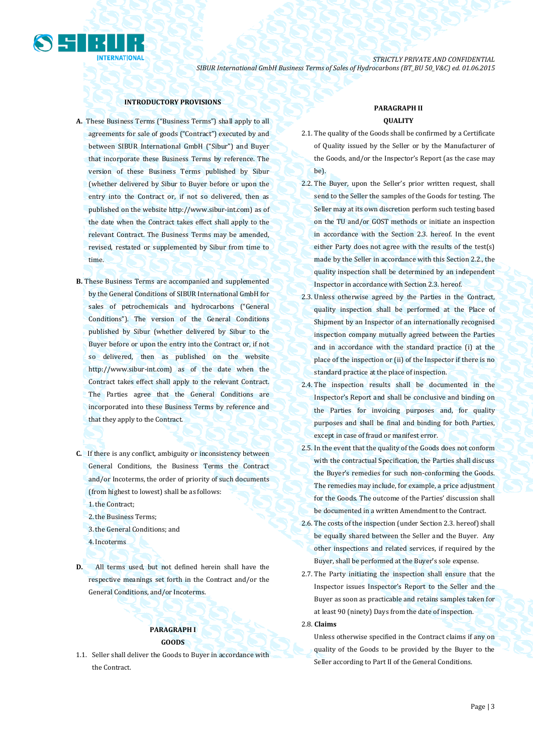

## **INTRODUCTORY PROVISIONS**

- **A.** These Business Terms ("Business Terms") shall apply to all agreements for sale of goods ("Contract") executed by and between SIBUR International GmbH ("Sibur") and Buyer that incorporate these Business Terms by reference. The version of these Business Terms published by Sibur (whether delivered by Sibur to Buyer before or upon the entry into the Contract or, if not so delivered, then as published on the website [http://www.sibur-int.com\)](http://www.sibur-int.com/) as of the date when the Contract takes effect shall apply to the relevant Contract. The Business Terms may be amended, revised, restated or supplemented by Sibur from time to time.
- **B.** These Business Terms are accompanied and supplemented by the General Conditions of SIBUR International GmbH for sales of petrochemicals and hydrocarbons ("General Conditions"). The version of the General Conditions published by Sibur (whether delivered by Sibur to the Buyer before or upon the entry into the Contract or, if not so delivered, then as published on the website [http://www.sibur-int.com\)](http://www.sibur-int.com/) as of the date when the Contract takes effect shall apply to the relevant Contract. The Parties agree that the General Conditions are incorporated into these Business Terms by reference and that they apply to the Contract.
- **C.** If there is any conflict, ambiguity or inconsistency between General Conditions, the Business Terms the Contract and/or Incoterms, the order of priority of such documents (from highest to lowest) shall be as follows:

1.the Contract;

2.the Business Terms;

3.the General Conditions; and

- 4.Incoterms
- **D.** All terms used, but not defined herein shall have the respective meanings set forth in the Contract and/or the General Conditions, and/or Incoterms.

## **PARAGRAPH I GOODS**

1.1. Seller shall deliver the Goods to Buyer in accordance with the Contract.

## **PARAGRAPH II QUALITY**

- 2.1. The quality of the Goods shall be confirmed by a Certificate of Quality issued by the Seller or by the Manufacturer of the Goods, and/or the Inspector's Report (as the case may be).
- 2.2. The Buyer, upon the Seller's prior written request, shall send to the Seller the samples of the Goods for testing. The Seller may at its own discretion perform such testing based on the TU and/or GOST methods or initiate an inspection in accordance with the Section 2.3. hereof. In the event either Party does not agree with the results of the test(s) made by the Seller in accordance with this Section 2.2., the quality inspection shall be determined by an independent Inspector in accordance with Section 2.3. hereof.
- 2.3. Unless otherwise agreed by the Parties in the Contract, quality inspection shall be performed at the Place of Shipment by an Inspector of an internationally recognised inspection company mutually agreed between the Parties and in accordance with the standard practice (i) at the place of the inspection or (ii) of the Inspector if there is no standard practice at the place of inspection.
- 2.4. The inspection results shall be documented in the Inspector's Report and shall be conclusive and binding on the Parties for invoicing purposes and, for quality purposes and shall be final and binding for both Parties, except in case of fraud or manifest error.
- 2.5. In the event that the quality of the Goods does not conform with the contractual Specification, the Parties shall discuss the Buyer's remedies for such non-conforming the Goods. The remedies may include, for example, a price adjustment for the Goods. The outcome of the Parties' discussion shall be documented in a written Amendment to the Contract.
- 2.6. The costs of the inspection (under Section 2.3. hereof) shall be equally shared between the Seller and the Buyer. Any other inspections and related services, if required by the Buyer, shall be performed at the Buyer's sole expense.
- 2.7. The Party initiating the inspection shall ensure that the Inspector issues Inspector's Report to the Seller and the Buyer as soon as practicable and retains samples taken for at least 90 (ninety) Days from the date of inspection.

2.8. **Claims** 

Unless otherwise specified in the Contract claims if any on quality of the Goods to be provided by the Buyer to the Seller according to Part II of the General Conditions.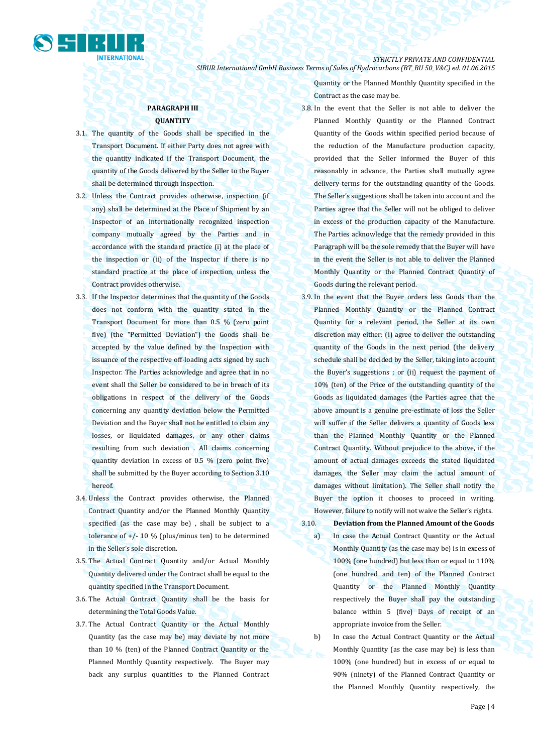

## *STRICTLY PRIVATE AND CONFIDENTIAL*

*SIBUR International GmbH Business Terms of Sales of Hydrocarbons (BT\_BU 50\_V&C) ed. 01.06.2015*

## **PARAGRAPH III QUANTITY**

- 3.1. The quantity of the Goods shall be specified in the Transport Document. If either Party does not agree with the quantity indicated if the Transport Document, the quantity of the Goods delivered by the Seller to the Buyer shall be determined through inspection.
- 3.2. Unless the Contract provides otherwise, inspection (if any) shall be determined at the Place of Shipment by an Inspector of an internationally recognized inspection company mutually agreed by the Parties and in accordance with the standard practice (i) at the place of the inspection or (ii) of the Inspector if there is no standard practice at the place of inspection, unless the Contract provides otherwise.
- 3.3. If the Inspector determines that the quantity of the Goods does not conform with the quantity stated in the Transport Document for more than 0.5 % (zero point five) (the "Permitted Deviation") the Goods shall be accepted by the value defined by the Inspection with issuance of the respective off-loading acts signed by such Inspector. The Parties acknowledge and agree that in no event shall the Seller be considered to be in breach of its obligations in respect of the delivery of the Goods concerning any quantity deviation below the Permitted Deviation and the Buyer shall not be entitled to claim any losses, or liquidated damages, or any other claims resulting from such deviation . All claims concerning quantity deviation in excess of 0.5 % (zero point five) shall be submitted by the Buyer according to Section 3.10 hereof.
- 3.4. Unless the Contract provides otherwise, the Planned Contract Quantity and/or the Planned Monthly Quantity specified (as the case may be) , shall be subject to a tolerance of  $+/$ - 10 % (plus/minus ten) to be determined in the Seller's sole discretion.
- 3.5. The Actual Contract Quantity and/or Actual Monthly Quantity delivered under the Contract shall be equal to the quantity specified in the Transport Document.
- 3.6. The Actual Contract Quantity shall be the basis for determining the Total Goods Value.
- 3.7. The Actual Contract Quantity or the Actual Monthly Quantity (as the case may be) may deviate by not more than 10 % (ten) of the Planned Contract Quantity or the Planned Monthly Quantity respectively. The Buyer may back any surplus quantities to the Planned Contract

Quantity or the Planned Monthly Quantity specified in the Contract as the case may be.

- 3.8. In the event that the Seller is not able to deliver the Planned Monthly Quantity or the Planned Contract Quantity of the Goods within specified period because of the reduction of the Manufacture production capacity, provided that the Seller informed the Buyer of this reasonably in advance, the Parties shall mutually agree delivery terms for the outstanding quantity of the Goods. The Seller's suggestions shall be taken into account and the Parties agree that the Seller will not be obliged to deliver in excess of the production capacity of the Manufacture. The Parties acknowledge that the remedy provided in this Paragraph will be the sole remedy that the Buyer will have in the event the Seller is not able to deliver the Planned Monthly Quantity or the Planned Contract Quantity of Goods during the relevant period.
- 3.9. In the event that the Buyer orders less Goods than the Planned Monthly Quantity or the Planned Contract Quantity for a relevant period, the Seller at its own discretion may either: (i) agree to deliver the outstanding quantity of the Goods in the next period (the delivery schedule shall be decided by the Seller, taking into account the Buyer's suggestions ; or (ii) request the payment of 10% (ten) of the Price of the outstanding quantity of the Goods as liquidated damages (the Parties agree that the above amount is a genuine pre-estimate of loss the Seller will suffer if the Seller delivers a quantity of Goods less than the Planned Monthly Quantity or the Planned Contract Quantity. Without prejudice to the above, if the amount of actual damages exceeds the stated liquidated damages, the Seller may claim the actual amount of damages without limitation). The Seller shall notify the Buyer the option it chooses to proceed in writing. However, failure to notify will not waive the Seller's rights.
- 3.10. **Deviation from the Planned Amount of the Goods**
	- a) In case the Actual Contract Quantity or the Actual Monthly Quantity (as the case may be) is in excess of 100% (one hundred) but less than or equal to 110% (one hundred and ten) of the Planned Contract Quantity or the Planned Monthly Quantity respectively the Buyer shall pay the outstanding balance within 5 (five) Days of receipt of an appropriate invoice from the Seller.
	- b) In case the Actual Contract Quantity or the Actual Monthly Quantity (as the case may be) is less than 100% (one hundred) but in excess of or equal to 90% (ninety) of the Planned Contract Quantity or the Planned Monthly Quantity respectively, the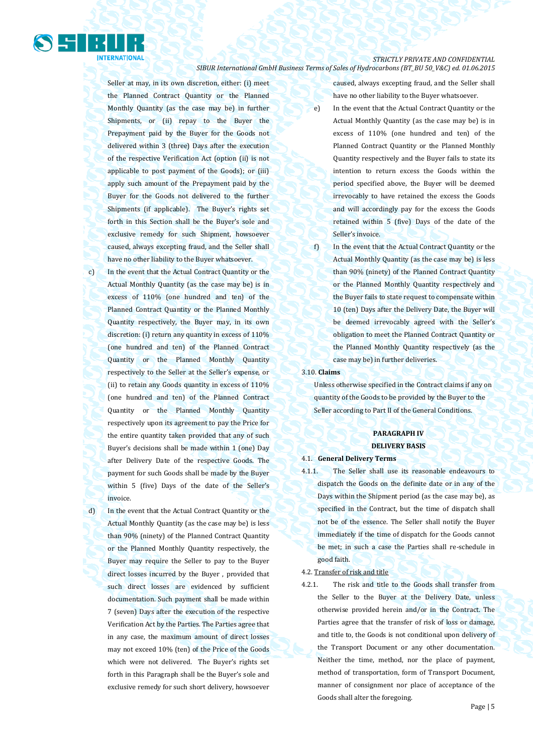

Seller at may, in its own discretion, either: (i) meet the Planned Contract Quantity or the Planned Monthly Quantity (as the case may be) in further Shipments, or (ii) repay to the Buyer the Prepayment paid by the Buyer for the Goods not delivered within 3 (three) Days after the execution of the respective Verification Act (option (ii) is not applicable to post payment of the Goods); or (iii) apply such amount of the Prepayment paid by the Buyer for the Goods not delivered to the further Shipments (if applicable). The Buyer's rights set forth in this Section shall be the Buyer's sole and exclusive remedy for such Shipment, howsoever caused, always excepting fraud, and the Seller shall have no other liability to the Buyer whatsoever.

c) In the event that the Actual Contract Quantity or the Actual Monthly Quantity (as the case may be) is in excess of 110% (one hundred and ten) of the Planned Contract Quantity or the Planned Monthly Quantity respectively, the Buyer may, in its own discretion: (i) return any quantity in excess of 110% (one hundred and ten) of the Planned Contract Quantity or the Planned Monthly Quantity respectively to the Seller at the Seller's expense, or (ii) to retain any Goods quantity in excess of 110% (one hundred and ten) of the Planned Contract Quantity or the Planned Monthly Quantity respectively upon its agreement to pay the Price for the entire quantity taken provided that any of such Buyer's decisions shall be made within 1 (one) Day after Delivery Date of the respective Goods. The payment for such Goods shall be made by the Buyer within 5 (five) Days of the date of the Seller's invoice.

d) In the event that the Actual Contract Quantity or the Actual Monthly Quantity (as the case may be) is less than 90% (ninety) of the Planned Contract Quantity or the Planned Monthly Quantity respectively, the Buyer may require the Seller to pay to the Buyer direct losses incurred by the Buyer , provided that such direct losses are evidenced by sufficient documentation. Such payment shall be made within 7 (seven) Days after the execution of the respective Verification Act by the Parties. The Parties agree that in any case, the maximum amount of direct losses may not exceed 10% (ten) of the Price of the Goods which were not delivered. The Buyer's rights set forth in this Paragraph shall be the Buyer's sole and exclusive remedy for such short delivery, howsoever

caused, always excepting fraud, and the Seller shall have no other liability to the Buyer whatsoever.

- e) In the event that the Actual Contract Quantity or the Actual Monthly Quantity (as the case may be) is in excess of 110% (one hundred and ten) of the Planned Contract Quantity or the Planned Monthly Quantity respectively and the Buyer fails to state its intention to return excess the Goods within the period specified above, the Buyer will be deemed irrevocably to have retained the excess the Goods and will accordingly pay for the excess the Goods retained within 5 (five) Days of the date of the Seller's invoice.
- f) In the event that the Actual Contract Quantity or the Actual Monthly Quantity (as the case may be) is less than 90% (ninety) of the Planned Contract Quantity or the Planned Monthly Quantity respectively and the Buyer fails to state request to compensate within 10 (ten) Days after the Delivery Date, the Buyer will be deemed irrevocably agreed with the Seller's obligation to meet the Planned Contract Quantity or the Planned Monthly Quantity respectively (as the case may be) in further deliveries.

3.10. **Claims**

Unless otherwise specified in the Contract claims if any on quantity of the Goods to be provided by the Buyer to the Seller according to Part II of the General Conditions.

## **PARAGRAPH IV DELIVERY BASIS**

#### 4.1. **General Delivery Terms**

4.1.1. The Seller shall use its reasonable endeavours to dispatch the Goods on the definite date or in any of the Days within the Shipment period (as the case may be), as specified in the Contract, but the time of dispatch shall not be of the essence. The Seller shall notify the Buyer immediately if the time of dispatch for the Goods cannot be met; in such a case the Parties shall re-schedule in good faith.

4.2. Transfer of risk and title

4.2.1. The risk and title to the Goods shall transfer from the Seller to the Buyer at the Delivery Date, unless otherwise provided herein and/or in the Contract. The Parties agree that the transfer of risk of loss or damage, and title to, the Goods is not conditional upon delivery of the Transport Document or any other documentation. Neither the time, method, nor the place of payment, method of transportation, form of Transport Document, manner of consignment nor place of acceptance of the Goods shall alter the foregoing.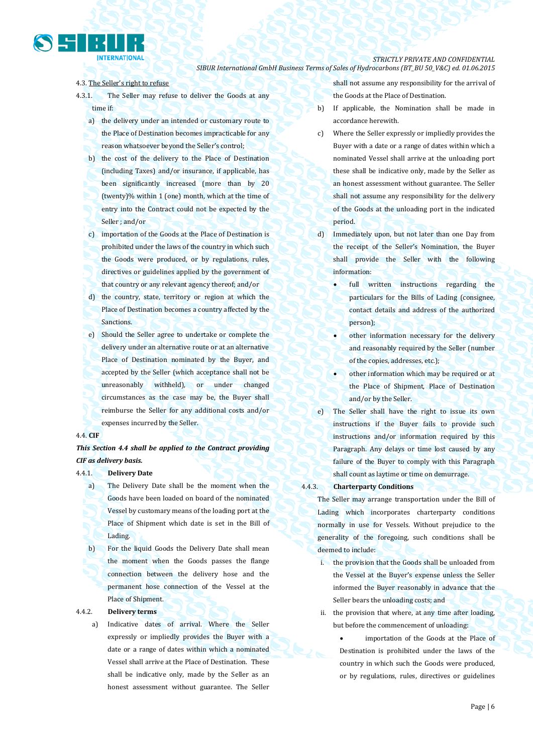## 4.3. The Seller's right to refuse

**INTERNATIONAL** 

- 4.3.1. The Seller may refuse to deliver the Goods at any time if:
	- a) the delivery under an intended or customary route to the Place of Destination becomes impracticable for any reason whatsoever beyond the Seller's control;
	- b) the cost of the delivery to the Place of Destination (including Taxes) and/or insurance, if applicable, has been significantly increased (more than by 20 (twenty)% within 1 (one) month, which at the time of entry into the Contract could not be expected by the Seller ; and/or
	- c) importation of the Goods at the Place of Destination is prohibited under the laws of the country in which such the Goods were produced, or by regulations, rules, directives or guidelines applied by the government of that country or any relevant agency thereof; and/or
	- d) the country, state, territory or region at which the Place of Destination becomes a country affected by the **Sanctions**
	- e) Should the Seller agree to undertake or complete the delivery under an alternative route or at an alternative Place of Destination nominated by the Buyer, and accepted by the Seller (which acceptance shall not be unreasonably withheld), or under changed circumstances as the case may be, the Buyer shall reimburse the Seller for any additional costs and/or expenses incurred by the Seller.

## 4.4. **CIF**

## *This Section 4.4 shall be applied to the Contract providing CIF as delivery basis.*

#### 4.4.1. **Delivery Date**

- a) The Delivery Date shall be the moment when the Goods have been loaded on board of the nominated Vessel by customary means of the loading port at the Place of Shipment which date is set in the Bill of Lading.
- b) For the liquid Goods the Delivery Date shall mean the moment when the Goods passes the flange connection between the delivery hose and the permanent hose connection of the Vessel at the Place of Shipment.

## 4.4.2. **Delivery terms**

a) Indicative dates of arrival. Where the Seller expressly or impliedly provides the Buyer with a date or a range of dates within which a nominated Vessel shall arrive at the Place of Destination. These shall be indicative only, made by the Seller as an honest assessment without guarantee. The Seller

shall not assume any responsibility for the arrival of the Goods at the Place of Destination.

- b) If applicable, the Nomination shall be made in accordance herewith.
- c) Where the Seller expressly or impliedly provides the Buyer with a date or a range of dates within which a nominated Vessel shall arrive at the unloading port these shall be indicative only, made by the Seller as an honest assessment without guarantee. The Seller shall not assume any responsibility for the delivery of the Goods at the unloading port in the indicated period.
- d) Immediately upon, but not later than one Day from the receipt of the Seller's Nomination, the Buyer shall provide the Seller with the following information:
	- full written instructions regarding the particulars for the Bills of Lading (consignee, contact details and address of the authorized person);
	- other information necessary for the delivery and reasonably required by the Seller (number of the copies, addresses, etc.);
	- other information which may be required or at the Place of Shipment, Place of Destination and/or by the Seller.
- e) The Seller shall have the right to issue its own instructions if the Buyer fails to provide such instructions and/or information required by this Paragraph. Any delays or time lost caused by any failure of the Buyer to comply with this Paragraph shall count as laytime or time on demurrage.

#### 4.4.3. **Charterparty Conditions**

The Seller may arrange transportation under the Bill of Lading which incorporates charterparty conditions normally in use for Vessels. Without prejudice to the generality of the foregoing, such conditions shall be deemed to include:

- i. the provision that the Goods shall be unloaded from the Vessel at the Buyer's expense unless the Seller informed the Buyer reasonably in advance that the Seller bears the unloading costs; and
- ii. the provision that where, at any time after loading, but before the commencement of unloading:

 importation of the Goods at the Place of Destination is prohibited under the laws of the country in which such the Goods were produced, or by regulations, rules, directives or guidelines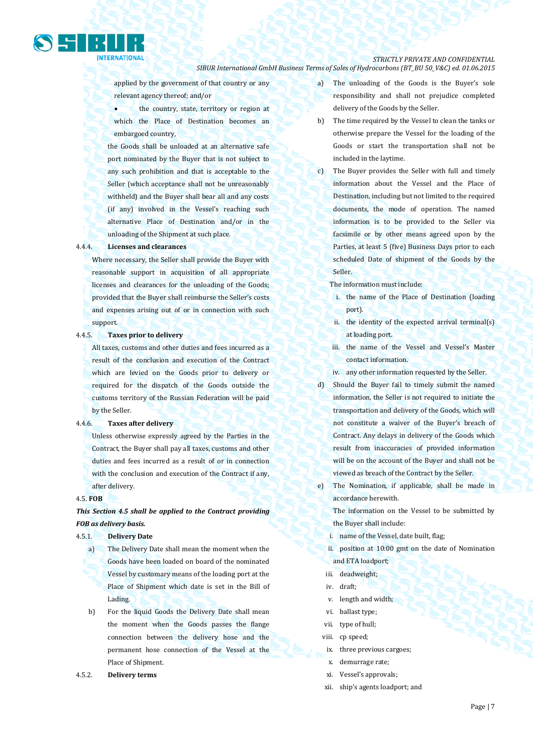

applied by the government of that country or any relevant agency thereof; and/or

 the country, state, territory or region at which the Place of Destination becomes an embargoed country,

the Goods shall be unloaded at an alternative safe port nominated by the Buyer that is not subject to any such prohibition and that is acceptable to the Seller (which acceptance shall not be unreasonably withheld) and the Buyer shall bear all and any costs (if any) involved in the Vessel's reaching such alternative Place of Destination and/or in the unloading of the Shipment at such place.

#### 4.4.4. **Licenses and clearances**

Where necessary, the Seller shall provide the Buyer with reasonable support in acquisition of all appropriate licenses and clearances for the unloading of the Goods; provided that the Buyer shall reimburse the Seller's costs and expenses arising out of or in connection with such support.

## 4.4.5. **Taxes prior to delivery**

All taxes, customs and other duties and fees incurred as a result of the conclusion and execution of the Contract which are levied on the Goods prior to delivery or required for the dispatch of the Goods outside the customs territory of the Russian Federation will be paid by the Seller.

#### 4.4.6. **Taxes after delivery**

Unless otherwise expressly agreed by the Parties in the Contract, the Buyer shall pay all taxes, customs and other duties and fees incurred as a result of or in connection with the conclusion and execution of the Contract if any, after delivery.

#### 4.5. **FOB**

## *This Section 4.5 shall be applied to the Contract providing FOB as delivery basis.*

#### 4.5.1. **Delivery Date**

- a) The Delivery Date shall mean the moment when the Goods have been loaded on board of the nominated Vessel by customary means of the loading port at the Place of Shipment which date is set in the Bill of Lading.
- b) For the liquid Goods the Delivery Date shall mean the moment when the Goods passes the flange connection between the delivery hose and the permanent hose connection of the Vessel at the Place of Shipment.
- 4.5.2. **Delivery terms**
- a) The unloading of the Goods is the Buyer's sole responsibility and shall not prejudice completed delivery of the Goods by the Seller.
- b) The time required by the Vessel to clean the tanks or otherwise prepare the Vessel for the loading of the Goods or start the transportation shall not be included in the laytime.
- c) The Buyer provides the Seller with full and timely information about the Vessel and the Place of Destination, including but not limited to the required documents, the mode of operation. The named information is to be provided to the Seller via facsimile or by other means agreed upon by the Parties, at least 5 (five) Business Days prior to each scheduled Date of shipment of the Goods by the Seller.
	- The information must include:
	- i. the name of the Place of Destination (loading port).
	- ii. the identity of the expected arrival terminal(s) at loading port.
	- iii. the name of the Vessel and Vessel's Master contact information.
	- iv. any other information requested by the Seller.
- d) Should the Buyer fail to timely submit the named information, the Seller is not required to initiate the transportation and delivery of the Goods, which will not constitute a waiver of the Buyer's breach of Contract. Any delays in delivery of the Goods which result from inaccuracies of provided information will be on the account of the Buyer and shall not be viewed as breach of the Contract by the Seller.
- e) The Nomination, if applicable, shall be made in accordance herewith.

The information on the Vessel to be submitted by the Buyer shall include:

- i. name of the Vessel, date built, flag;
- ii. position at 10:00 gmt on the date of Nomination and ETA loadport;
- iii. deadweight;
- iv. draft;
- v. length and width;
- vi. ballast type;
- vii. type of hull;
- viii. cp speed;
- ix. three previous cargoes;
- x. demurrage rate;
- xi. Vessel's approvals;
- xii. ship's agents loadport; and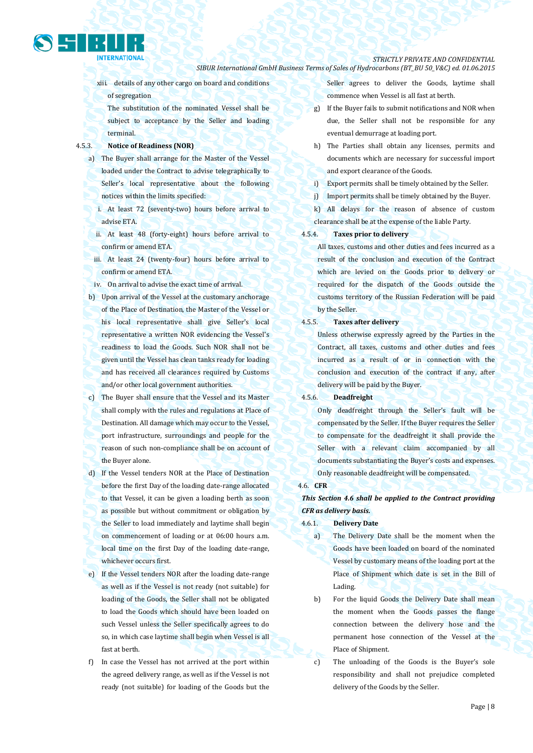## *STRICTLY PRIVATE AND CONFIDENTIAL*

- *SIBUR International GmbH Business Terms of Sales of Hydrocarbons (BT\_BU 50\_V&C) ed. 01.06.2015*
- xiii. details of any other cargo on board and conditions of segregation

The substitution of the nominated Vessel shall be subject to acceptance by the Seller and loading terminal.

## 4.5.3. **Notice of Readiness (NOR)**

- a) The Buyer shall arrange for the Master of the Vessel loaded under the Contract to advise telegraphically to Seller's local representative about the following notices within the limits specified:
	- i. At least 72 (seventy-two) hours before arrival to advise ETA.
	- ii. At least 48 (forty-eight) hours before arrival to confirm or amend ETA.
	- iii. At least 24 (twenty-four) hours before arrival to confirm or amend ETA.
- iv. On arrival to advise the exact time of arrival.
- b) Upon arrival of the Vessel at the customary anchorage of the Place of Destination, the Master of the Vessel or his local representative shall give Seller's local representative a written NOR evidencing the Vessel's readiness to load the Goods. Such NOR shall not be given until the Vessel has clean tanks ready for loading and has received all clearances required by Customs and/or other local government authorities.
- c) The Buyer shall ensure that the Vessel and its Master shall comply with the rules and regulations at Place of Destination. All damage which may occur to the Vessel, port infrastructure, surroundings and people for the reason of such non-compliance shall be on account of the Buyer alone.
- d) If the Vessel tenders NOR at the Place of Destination before the first Day of the loading date-range allocated to that Vessel, it can be given a loading berth as soon as possible but without commitment or obligation by the Seller to load immediately and laytime shall begin on commencement of loading or at 06:00 hours a.m. local time on the first Day of the loading date-range, whichever occurs first.
- e) If the Vessel tenders NOR after the loading date-range as well as if the Vessel is not ready (not suitable) for loading of the Goods, the Seller shall not be obligated to load the Goods which should have been loaded on such Vessel unless the Seller specifically agrees to do so, in which case laytime shall begin when Vessel is all fast at berth.
- f) In case the Vessel has not arrived at the port within the agreed delivery range, as well as if the Vessel is not ready (not suitable) for loading of the Goods but the

Seller agrees to deliver the Goods, laytime shall commence when Vessel is all fast at berth.

- g) If the Buyer fails to submit notifications and NOR when due, the Seller shall not be responsible for any eventual demurrage at loading port.
- h) The Parties shall obtain any licenses, permits and documents which are necessary for successful import and export clearance of the Goods.
- i) Export permits shall be timely obtained by the Seller.
- j) Import permits shall be timely obtained by the Buyer.

k) All delays for the reason of absence of custom clearance shall be at the expense of the liable Party.

## 4.5.4. **Taxes prior to delivery**

All taxes, customs and other duties and fees incurred as a result of the conclusion and execution of the Contract which are levied on the Goods prior to delivery or required for the dispatch of the Goods outside the customs territory of the Russian Federation will be paid by the Seller.

#### 4.5.5. **Taxes after delivery**

Unless otherwise expressly agreed by the Parties in the Contract, all taxes, customs and other duties and fees incurred as a result of or in connection with the conclusion and execution of the contract if any, after delivery will be paid by the Buyer.

## 4.5.6. **Deadfreight**

Only deadfreight through the Seller's fault will be compensated by the Seller. If the Buyer requires the Seller to compensate for the deadfreight it shall provide the Seller with a relevant claim accompanied by all documents substantiating the Buyer's costs and expenses. Only reasonable deadfreight will be compensated.

#### 4.6. **CFR**

## *This Section 4.6 shall be applied to the Contract providing CFR as delivery basis.*

- 4.6.1. **Delivery Date**
	- a) The Delivery Date shall be the moment when the Goods have been loaded on board of the nominated Vessel by customary means of the loading port at the Place of Shipment which date is set in the Bill of Lading.
	- b) For the liquid Goods the Delivery Date shall mean the moment when the Goods passes the flange connection between the delivery hose and the permanent hose connection of the Vessel at the Place of Shipment.
	- c) The unloading of the Goods is the Buyer's sole responsibility and shall not prejudice completed delivery of the Goods by the Seller.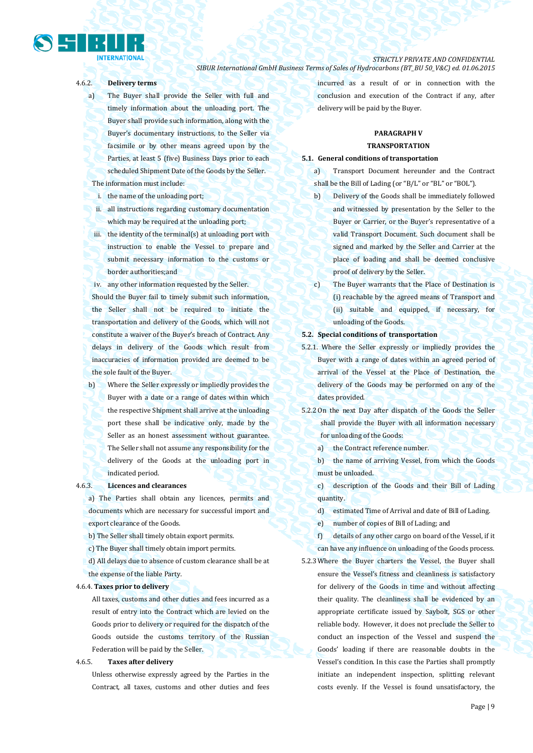# **INTERNATIONAL**

*STRICTLY PRIVATE AND CONFIDENTIAL SIBUR International GmbH Business Terms of Sales of Hydrocarbons (BT\_BU 50\_V&C) ed. 01.06.2015*

## 4.6.2. **Delivery terms**

- a) The Buyer shall provide the Seller with full and timely information about the unloading port. The Buyer shall provide such information, along with the Buyer's documentary instructions, to the Seller via facsimile or by other means agreed upon by the Parties, at least 5 (five) Business Days prior to each scheduled Shipment Date of the Goods by the Seller. The information must include:
- i. the name of the unloading port;
- ii. all instructions regarding customary documentation which may be required at the unloading port;
- iii. the identity of the terminal(s) at unloading port with instruction to enable the Vessel to prepare and submit necessary information to the customs or border authorities;and
- iv. any other information requested by the Seller.

Should the Buyer fail to timely submit such information, the Seller shall not be required to initiate the transportation and delivery of the Goods, which will not constitute a waiver of the Buyer's breach of Contract. Any delays in delivery of the Goods which result from inaccuracies of information provided are deemed to be the sole fault of the Buyer.

b) Where the Seller expressly or impliedly provides the Buyer with a date or a range of dates within which the respective Shipment shall arrive at the unloading port these shall be indicative only, made by the Seller as an honest assessment without guarantee. The Seller shall not assume any responsibility for the delivery of the Goods at the unloading port in indicated period.

## 4.6.3. **Licences and clearances**

a) The Parties shall obtain any licences, permits and documents which are necessary for successful import and export clearance of the Goods.

b) The Seller shall timely obtain export permits.

c) The Buyer shall timely obtain import permits.

d) All delays due to absence of custom clearance shall be at the expense of the liable Party.

#### 4.6.4. **Taxes prior to delivery**

All taxes, customs and other duties and fees incurred as a result of entry into the Contract which are levied on the Goods prior to delivery or required for the dispatch of the Goods outside the customs territory of the Russian Federation will be paid by the Seller.

## 4.6.5. **Taxes after delivery**

Unless otherwise expressly agreed by the Parties in the Contract, all taxes, customs and other duties and fees incurred as a result of or in connection with the conclusion and execution of the Contract if any, after delivery will be paid by the Buyer.

## **PARAGRAPH V TRANSPORTATION**

#### **5.1. General conditions of transportation**

a) Transport Document hereunder and the Contract shall be the Bill of Lading (or "B/L" or "BL" or "BOL").

- b) Delivery of the Goods shall be immediately followed and witnessed by presentation by the Seller to the Buyer or Carrier, or the Buyer's representative of a valid Transport Document. Such document shall be signed and marked by the Seller and Carrier at the place of loading and shall be deemed conclusive proof of delivery by the Seller.
- c) The Buyer warrants that the Place of Destination is (i) reachable by the agreed means of Transport and (ii) suitable and equipped, if necessary, for unloading of the Goods.

#### **5.2. Special conditions of transportation**

- 5.2.1. Where the Seller expressly or impliedly provides the Buyer with a range of dates within an agreed period of arrival of the Vessel at the Place of Destination, the delivery of the Goods may be performed on any of the dates provided.
- 5.2.2 On the next Day after dispatch of the Goods the Seller shall provide the Buyer with all information necessary for unloading of the Goods:
	- a) the Contract reference number.
	- b) the name of arriving Vessel, from which the Goods must be unloaded.
	- c) description of the Goods and their Bill of Lading quantity.
	- d) estimated Time of Arrival and date of Bill of Lading.

e) number of copies of Bill of Lading; and

f) details of any other cargo on board of the Vessel, if it can have any influence on unloading of the Goods process.

5.2.3 Where the Buyer charters the Vessel, the Buyer shall ensure the Vessel's fitness and cleanliness is satisfactory for delivery of the Goods in time and without affecting their quality. The cleanliness shall be evidenced by an appropriate certificate issued by Saybolt, SGS or other reliable body. However, it does not preclude the Seller to conduct an inspection of the Vessel and suspend the Goods' loading if there are reasonable doubts in the Vessel's condition. In this case the Parties shall promptly initiate an independent inspection, splitting relevant costs evenly. If the Vessel is found unsatisfactory, the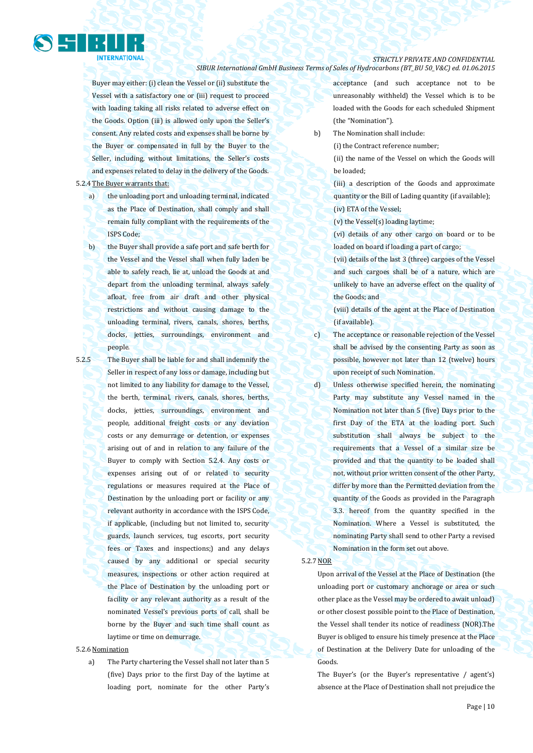

Buyer may either: (i) clean the Vessel or (ii) substitute the Vessel with a satisfactory one or (iii) request to proceed with loading taking all risks related to adverse effect on the Goods. Option (iii) is allowed only upon the Seller's consent. Any related costs and expenses shall be borne by the Buyer or compensated in full by the Buyer to the Seller, including, without limitations, the Seller's costs and expenses related to delay in the delivery of the Goods.

5.2.4 The Buyer warrants that:

a) the unloading port and unloading terminal, indicated as the Place of Destination, shall comply and shall remain fully compliant with the requirements of the ISPS Code;

b) the Buyer shall provide a safe port and safe berth for the Vessel and the Vessel shall when fully laden be able to safely reach, lie at, unload the Goods at and depart from the unloading terminal, always safely afloat, free from air draft and other physical restrictions and without causing damage to the unloading terminal, rivers, canals, shores, berths, docks, jetties, surroundings, environment and people.

5.2.5 The Buyer shall be liable for and shall indemnify the Seller in respect of any loss or damage, including but not limited to any liability for damage to the Vessel, the berth, terminal, rivers, canals, shores, berths, docks, jetties, surroundings, environment and people, additional freight costs or any deviation costs or any demurrage or detention, or expenses arising out of and in relation to any failure of the Buyer to comply with Section 5.2.4. Any costs or expenses arising out of or related to security regulations or measures required at the Place of Destination by the unloading port or facility or any relevant authority in accordance with the ISPS Code, if applicable, (including but not limited to, security guards, launch services, tug escorts, port security fees or Taxes and inspections;) and any delays caused by any additional or special security measures, inspections or other action required at the Place of Destination by the unloading port or facility or any relevant authority as a result of the nominated Vessel's previous ports of call, shall be borne by the Buyer and such time shall count as laytime or time on demurrage.

## 5.2.6 Nomination

a) The Party chartering the Vessel shall not later than 5 (five) Days prior to the first Day of the laytime at loading port, nominate for the other Party's acceptance (and such acceptance not to be unreasonably withheld) the Vessel which is to be loaded with the Goods for each scheduled Shipment (the "Nomination").

b) The Nomination shall include:

(i) the Contract reference number;

(ii) the name of the Vessel on which the Goods will be loaded;

(iii) a description of the Goods and approximate quantity or the Bill of Lading quantity (if available); (iv) ETA of the Vessel;

(v) the Vessel(s) loading laytime;

(vi) details of any other cargo on board or to be loaded on board if loading a part of cargo;

(vii) details of the last 3 (three) cargoes of the Vessel and such cargoes shall be of a nature, which are unlikely to have an adverse effect on the quality of the Goods; and

(viii) details of the agent at the Place of Destination (if available).

c) The acceptance or reasonable rejection of the Vessel shall be advised by the consenting Party as soon as possible, however not later than 12 (twelve) hours upon receipt of such Nomination.

d) Unless otherwise specified herein, the nominating Party may substitute any Vessel named in the Nomination not later than 5 (five) Days prior to the first Day of the ETA at the loading port. Such substitution shall always be subject to the requirements that a Vessel of a similar size be provided and that the quantity to be loaded shall not, without prior written consent of the other Party, differ by more than the Permitted deviation from the quantity of the Goods as provided in the Paragraph 3.3. hereof from the quantity specified in the Nomination. Where a Vessel is substituted, the nominating Party shall send to other Party a revised Nomination in the form set out above.

#### 5.2.7 NOR

Upon arrival of the Vessel at the Place of Destination (the unloading port or customary anchorage or area or such other place as the Vessel may be ordered to await unload) or other closest possible point to the Place of Destination, the Vessel shall tender its notice of readiness (NOR).The Buyer is obliged to ensure his timely presence at the Place of Destination at the Delivery Date for unloading of the Goods.

The Buyer's (or the Buyer's representative / agent's) absence at the Place of Destination shall not prejudice the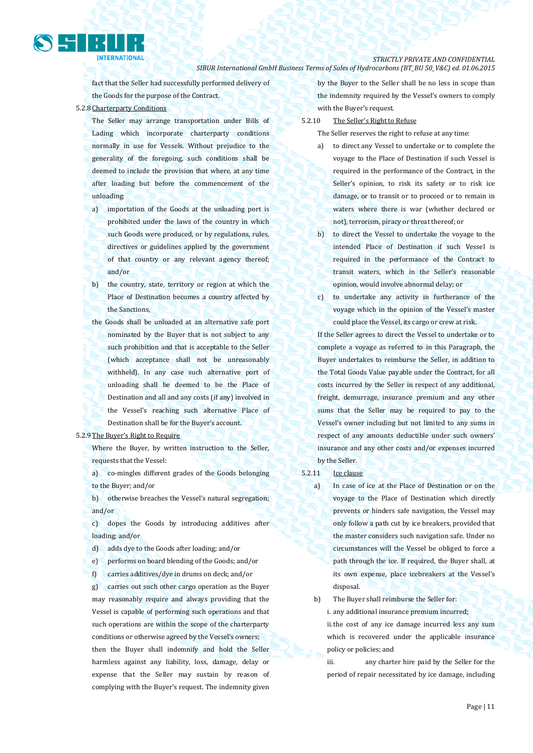fact that the Seller had successfully performed delivery of the Goods for the purpose of the Contract.

#### 5.2.8 Charterparty Conditions

- The Seller may arrange transportation under Bills of Lading which incorporate charterparty conditions normally in use for Vessels. Without prejudice to the generality of the foregoing, such conditions shall be deemed to include the provision that where, at any time after loading but before the commencement of the unloading:
- a) importation of the Goods at the unloading port is prohibited under the laws of the country in which such Goods were produced, or by regulations, rules, directives or guidelines applied by the government of that country or any relevant agency thereof; and/or
- b) the country, state, territory or region at which the Place of Destination becomes a country affected by the Sanctions,
- the Goods shall be unloaded at an alternative safe port nominated by the Buyer that is not subject to any such prohibition and that is acceptable to the Seller (which acceptance shall not be unreasonably withheld). In any case such alternative port of unloading shall be deemed to be the Place of Destination and all and any costs (if any) involved in the Vessel's reaching such alternative Place of Destination shall be for the Buyer's account.

## 5.2.9 The Buyer's Right to Require

Where the Buyer, by written instruction to the Seller, requests that the Vessel:

a) co-mingles different grades of the Goods belonging to the Buyer; and/or

b) otherwise breaches the Vessel's natural segregation; and/or

c) dopes the Goods by introducing additives after loading; and/or

d) adds dye to the Goods after loading; and/or

e) performs on board blending of the Goods; and/or

f) carries additives/dye in drums on deck; and/or

g) carries out such other cargo operation as the Buyer may reasonably require and always providing that the Vessel is capable of performing such operations and that such operations are within the scope of the charterparty conditions or otherwise agreed by the Vessel's owners; then the Buyer shall indemnify and hold the Seller harmless against any liability, loss, damage, delay or expense that the Seller may sustain by reason of complying with the Buyer's request. The indemnity given by the Buyer to the Seller shall be no less in scope than the indemnity required by the Vessel's owners to comply with the Buyer's request.

5.2.10 The Seller's Right to Refuse

The Seller reserves the right to refuse at any time:

- a) to direct any Vessel to undertake or to complete the voyage to the Place of Destination if such Vessel is required in the performance of the Contract, in the Seller's opinion, to risk its safety or to risk ice damage, or to transit or to proceed or to remain in waters where there is war (whether declared or not), terrorism, piracy or threat thereof; or
- b) to direct the Vessel to undertake the voyage to the intended Place of Destination if such Vessel is required in the performance of the Contract to transit waters, which in the Seller's reasonable opinion, would involve abnormal delay; or
- c) to undertake any activity in furtherance of the voyage which in the opinion of the Vessel's master could place the Vessel, its cargo or crew at risk.

If the Seller agrees to direct the Vessel to undertake or to complete a voyage as referred to in this Paragraph, the Buyer undertakes to reimburse the Seller, in addition to the Total Goods Value payable under the Contract, for all costs incurred by the Seller in respect of any additional, freight, demurrage, insurance premium and any other sums that the Seller may be required to pay to the Vessel's owner including but not limited to any sums in respect of any amounts deductible under such owners' insurance and any other costs and/or expenses incurred by the Seller.

### 5.2.11 Ice clause

a) In case of ice at the Place of Destination or on the voyage to the Place of Destination which directly prevents or hinders safe navigation, the Vessel may only follow a path cut by ice breakers, provided that the master considers such navigation safe. Under no circumstances will the Vessel be obliged to force a path through the ice. If required, the Buyer shall, at its own expense, place icebreakers at the Vessel's disposal.

b) The Buyer shall reimburse the Seller for:

i. any additional insurance premium incurred;

ii.the cost of any ice damage incurred less any sum which is recovered under the applicable insurance policy or policies; and

iii. any charter hire paid by the Seller for the period of repair necessitated by ice damage, including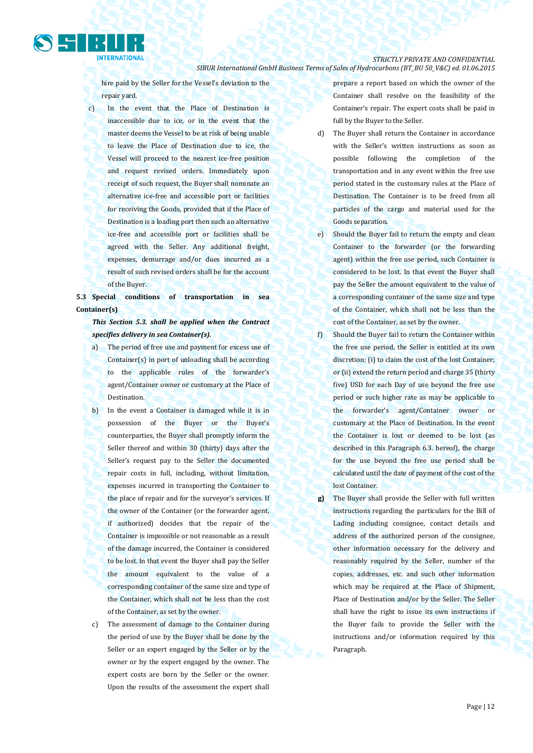

hire paid by the Seller for the Vessel's deviation to the repair yard.

c) In the event that the Place of Destination is inaccessible due to ice, or in the event that the master deems the Vessel to be at risk of being unable to leave the Place of Destination due to ice, the Vessel will proceed to the nearest ice-free position and request revised orders. Immediately upon receipt of such request, the Buyer shall nominate an alternative ice-free and accessible port or facilities for receiving the Goods, provided that if the Place of Destination is a loading port then such an alternative ice-free and accessible port or facilities shall be agreed with the Seller. Any additional freight, expenses, demurrage and/or dues incurred as a result of such revised orders shall be for the account of the Buyer.

**5.3 Special conditions of transportation in sea Container(s)**

*This Section 5.3. shall be applied when the Contract specifies delivery in sea Container(s).*

- a) The period of free use and payment for excess use of Container(s) in port of unloading shall be according to the applicable rules of the forwarder's agent/Container owner or customary at the Place of Destination.
- b) In the event a Container is damaged while it is in possession of the Buyer or the Buyer's counterparties, the Buyer shall promptly inform the Seller thereof and within 30 (thirty) days after the Seller's request pay to the Seller the documented repair costs in full, including, without limitation, expenses incurred in transporting the Container to the place of repair and for the surveyor's services. If the owner of the Container (or the forwarder agent, if authorized) decides that the repair of the Container is impossible or not reasonable as a result of the damage incurred, the Container is considered to be lost. In that event the Buyer shall pay the Seller the amount equivalent to the value of a corresponding container of the same size and type of the Container, which shall not be less than the cost of the Container, as set by the owner.
- c) The assessment of damage to the Container during the period of use by the Buyer shall be done by the Seller or an expert engaged by the Seller or by the owner or by the expert engaged by the owner. The expert costs are born by the Seller or the owner. Upon the results of the assessment the expert shall

prepare a report based on which the owner of the Container shall resolve on the feasibility of the Container's repair. The expert costs shall be paid in full by the Buyer to the Seller.

- d) The Buyer shall return the Container in accordance with the Seller's written instructions as soon as possible following the completion of the transportation and in any event within the free use period stated in the customary rules at the Place of Destination. The Container is to be freed from all particles of the cargo and material used for the Goods separation.
- e) Should the Buyer fail to return the empty and clean Container to the forwarder (or the forwarding agent) within the free use period, such Container is considered to be lost. In that event the Buyer shall pay the Seller the amount equivalent to the value of a corresponding container of the same size and type of the Container, which shall not be less than the cost of the Container, as set by the owner.
- f) Should the Buyer fail to return the Container within the free use period, the Seller is entitled at its own discretion: (i) to claim the cost of the lost Container; or (ii) extend the return period and charge 35 (thirty five) USD for each Day of use beyond the free use period or such higher rate as may be applicable to the forwarder's agent/Container owner or customary at the Place of Destination. In the event the Container is lost or deemed to be lost (as described in this Paragraph 6.3. hereof), the charge for the use beyond the free use period shall be calculated until the date of payment of the cost of the lost Container.
- **g)** The Buyer shall provide the Seller with full written instructions regarding the particulars for the Bill of Lading including consignee, contact details and address of the authorized person of the consignee, other information necessary for the delivery and reasonably required by the Seller, number of the copies, addresses, etc. and such other information which may be required at the Place of Shipment, Place of Destination and/or by the Seller. The Seller shall have the right to issue its own instructions if the Buyer fails to provide the Seller with the instructions and/or information required by this Paragraph.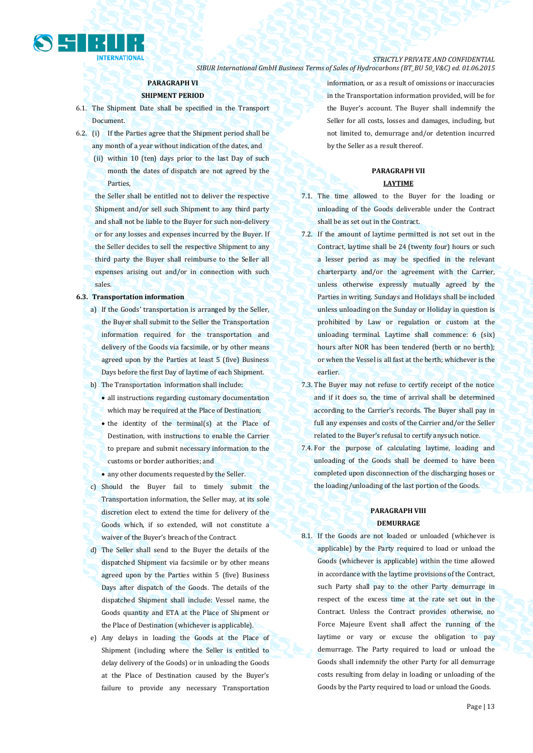

## *STRICTLY PRIVATE AND CONFIDENTIAL*

*SIBUR International GmbH Business Terms of Sales of Hydrocarbons (BT\_BU 50\_V&C) ed. 01.06.2015*

## **PARAGRAPH VI**

## **SHIPMENT PERIOD**

- 6.1. The Shipment Date shall be specified in the Transport Document.
- 6.2. (i) If the Parties agree that the Shipment period shall be any month of a year without indication of the dates, and
	- (ii) within 10 (ten) days prior to the last Day of such month the dates of dispatch are not agreed by the Parties,
	- the Seller shall be entitled not to deliver the respective Shipment and/or sell such Shipment to any third party and shall not be liable to the Buyer for such non-delivery or for any losses and expenses incurred by the Buyer. If the Seller decides to sell the respective Shipment to any third party the Buyer shall reimburse to the Seller all expenses arising out and/or in connection with such sales.

#### **6.3. Transportation information**

- a) If the Goods' transportation is arranged by the Seller, the Buyer shall submit to the Seller the Transportation information required for the transportation and delivery of the Goods via facsimile, or by other means agreed upon by the Parties at least 5 (five) Business Days before the first Day of laytime of each Shipment.
- b) The Transportation information shall include:
	- all instructions regarding customary documentation which may be required at the Place of Destination;
	- the identity of the terminal(s) at the Place of Destination, with instructions to enable the Carrier to prepare and submit necessary information to the customs or border authorities; and
	- any other documents requested by the Seller.
- c) Should the Buyer fail to timely submit the Transportation information, the Seller may, at its sole discretion elect to extend the time for delivery of the Goods which, if so extended, will not constitute a waiver of the Buyer's breach of the Contract.
- d) The Seller shall send to the Buyer the details of the dispatched Shipment via facsimile or by other means agreed upon by the Parties within 5 (five) Business Days after dispatch of the Goods. The details of the dispatched Shipment shall include: Vessel name, the Goods quantity and ETA at the Place of Shipment or the Place of Destination (whichever is applicable).
- e) Any delays in loading the Goods at the Place of Shipment (including where the Seller is entitled to delay delivery of the Goods) or in unloading the Goods at the Place of Destination caused by the Buyer's failure to provide any necessary Transportation

information, or as a result of omissions or inaccuracies in the Transportation information provided, will be for the Buyer's account. The Buyer shall indemnify the Seller for all costs, losses and damages, including, but not limited to, demurrage and/or detention incurred by the Seller as a result thereof.

## **PARAGRAPH VII**

## **LAYTIME**

- 7.1. The time allowed to the Buyer for the loading or unloading of the Goods deliverable under the Contract shall be as set out in the Contract.
- 7.2. If the amount of laytime permitted is not set out in the Contract, laytime shall be 24 (twenty four) hours or such a lesser period as may be specified in the relevant charterparty and/or the agreement with the Carrier, unless otherwise expressly mutually agreed by the Parties in writing. Sundays and Holidays shall be included unless unloading on the Sunday or Holiday in question is prohibited by Law or regulation or custom at the unloading terminal. Laytime shall commence: 6 (six) hours after NOR has been tendered (berth or no berth); or when the Vessel is all fast at the berth; whichever is the earlier.
- 7.3. The Buyer may not refuse to certify receipt of the notice and if it does so, the time of arrival shall be determined according to the Carrier's records. The Buyer shall pay in full any expenses and costs of the Carrier and/or the Seller related to the Buyer's refusal to certify anysuch notice.
- 7.4. For the purpose of calculating laytime, loading and unloading of the Goods shall be deemed to have been completed upon disconnection of the discharging hoses or the loading/unloading of the last portion of the Goods.

## **PARAGRAPH VIII DEMURRAGE**

8.1. If the Goods are not loaded or unloaded (whichever is applicable) by the Party required to load or unload the Goods (whichever is applicable) within the time allowed in accordance with the laytime provisions of the Contract, such Party shall pay to the other Party demurrage in respect of the excess time at the rate set out in the Contract. Unless the Contract provides otherwise, no Force Majeure Event shall affect the running of the laytime or vary or excuse the obligation to pay demurrage. The Party required to load or unload the Goods shall indemnify the other Party for all demurrage costs resulting from delay in loading or unloading of the Goods by the Party required to load or unload the Goods.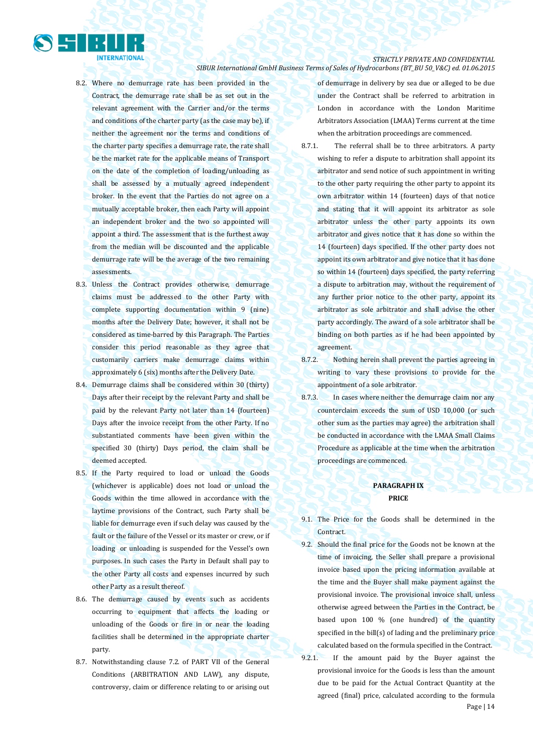

- 8.2. Where no demurrage rate has been provided in the Contract, the demurrage rate shall be as set out in the relevant agreement with the Carrier and/or the terms and conditions of the charter party (as the case may be), if neither the agreement nor the terms and conditions of the charter party specifies a demurrage rate, the rate shall be the market rate for the applicable means of Transport on the date of the completion of loading/unloading as shall be assessed by a mutually agreed independent broker. In the event that the Parties do not agree on a mutually acceptable broker, then each Party will appoint an independent broker and the two so appointed will appoint a third. The assessment that is the furthest away from the median will be discounted and the applicable demurrage rate will be the average of the two remaining assessments.
- 8.3. Unless the Contract provides otherwise, demurrage claims must be addressed to the other Party with complete supporting documentation within 9 (nine) months after the Delivery Date; however, it shall not be considered as time-barred by this Paragraph. The Parties consider this period reasonable as they agree that customarily carriers make demurrage claims within approximately 6 (six) months after the Delivery Date.
- 8.4. Demurrage claims shall be considered within 30 (thirty) Days after their receipt by the relevant Party and shall be paid by the relevant Party not later than 14 (fourteen) Days after the invoice receipt from the other Party. If no substantiated comments have been given within the specified 30 (thirty) Days period, the claim shall be deemed accepted.
- 8.5. If the Party required to load or unload the Goods (whichever is applicable) does not load or unload the Goods within the time allowed in accordance with the laytime provisions of the Contract, such Party shall be liable for demurrage even if such delay was caused by the fault or the failure of the Vessel or its master or crew, or if loading or unloading is suspended for the Vessel's own purposes. In such cases the Party in Default shall pay to the other Party all costs and expenses incurred by such other Party as a result thereof.
- 8.6. The demurrage caused by events such as accidents occurring to equipment that affects the loading or unloading of the Goods or fire in or near the loading facilities shall be determined in the appropriate charter party.
- 8.7. Notwithstanding clause 7.2. of PART VII of the General Conditions (ARBITRATION AND LAW), any dispute, controversy, claim or difference relating to or arising out

of demurrage in delivery by sea due or alleged to be due under the Contract shall be referred to arbitration in London in accordance with the London Maritime Arbitrators Association (LMAA) Terms current at the time when the arbitration proceedings are commenced.

- 8.7.1. The referral shall be to three arbitrators. A party wishing to refer a dispute to arbitration shall appoint its arbitrator and send notice of such appointment in writing to the other party requiring the other party to appoint its own arbitrator within 14 (fourteen) days of that notice and stating that it will appoint its arbitrator as sole arbitrator unless the other party appoints its own arbitrator and gives notice that it has done so within the 14 (fourteen) days specified. If the other party does not appoint its own arbitrator and give notice that it has done so within 14 (fourteen) days specified, the party referring a dispute to arbitration may, without the requirement of any further prior notice to the other party, appoint its arbitrator as sole arbitrator and shall advise the other party accordingly. The award of a sole arbitrator shall be binding on both parties as if he had been appointed by agreement.
- 8.7.2. Nothing herein shall prevent the parties agreeing in writing to vary these provisions to provide for the appointment of a sole arbitrator.
- 8.7.3. In cases where neither the demurrage claim nor any counterclaim exceeds the sum of USD 10,000 (or such other sum as the parties may agree) the arbitration shall be conducted in accordance with the LMAA Small Claims Procedure as applicable at the time when the arbitration proceedings are commenced.

## **PARAGRAPH IX PRICE**

- 9.1. The Price for the Goods shall be determined in the Contract.
- 9.2. Should the final price for the Goods not be known at the time of invoicing, the Seller shall prepare a provisional invoice based upon the pricing information available at the time and the Buyer shall make payment against the provisional invoice. The provisional invoice shall, unless otherwise agreed between the Parties in the Contract, be based upon 100 % (one hundred) of the quantity specified in the bill(s) of lading and the preliminary price calculated based on the formula specified in the Contract.
- Page | 14 9.2.1. If the amount paid by the Buyer against the provisional invoice for the Goods is less than the amount due to be paid for the Actual Contract Quantity at the agreed (final) price, calculated according to the formula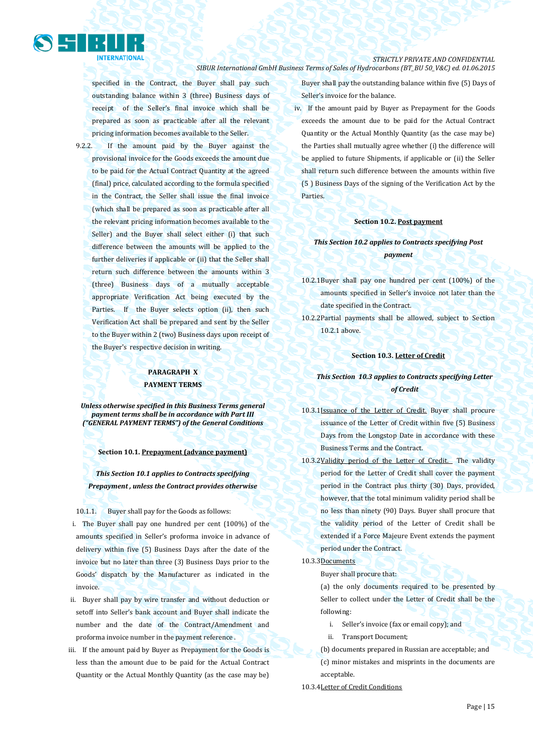

specified in the Contract, the Buyer shall pay such outstanding balance within 3 (three) Business days of receipt of the Seller's final invoice which shall be prepared as soon as practicable after all the relevant pricing information becomes available to the Seller.

9.2.2. If the amount paid by the Buyer against the provisional invoice for the Goods exceeds the amount due to be paid for the Actual Contract Quantity at the agreed (final) price, calculated according to the formula specified in the Contract, the Seller shall issue the final invoice (which shall be prepared as soon as practicable after all the relevant pricing information becomes available to the Seller) and the Buyer shall select either (i) that such difference between the amounts will be applied to the further deliveries if applicable or (ii) that the Seller shall return such difference between the amounts within 3 (three) Business days of a mutually acceptable appropriate Verification Act being executed by the Parties. If the Buyer selects option (ii), then such Verification Act shall be prepared and sent by the Seller to the Buyer within 2 (two) Business days upon receipt of the Buyer's respective decision in writing.

## **PARAGRAPH X PAYMENT TERMS**

*Unless otherwise specified in this Business Terms general payment terms shall be in accordance with Part III ("GENERAL PAYMENT TERMS") of the General Conditions*

#### **Section 10.1. Prepayment (advance payment)**

*This Section 10.1 applies to Contracts specifying Prepayment , unless the Contract provides otherwise*

10.1.1. Buyer shall pay for the Goods as follows:

- i. The Buyer shall pay one hundred per cent (100%) of the amounts specified in Seller's proforma invoice in advance of delivery within five (5) Business Days after the date of the invoice but no later than three (3) Business Days prior to the Goods' dispatch by the Manufacturer as indicated in the invoice.
- ii. Buyer shall pay by wire transfer and without deduction or setoff into Seller's bank account and Buyer shall indicate the number and the date of the Contract/Amendment and proforma invoice number in the payment reference .
- iii. If the amount paid by Buyer as Prepayment for the Goods is less than the amount due to be paid for the Actual Contract Quantity or the Actual Monthly Quantity (as the case may be)

Buyer shall pay the outstanding balance within five (5) Days of Seller's invoice for the balance.

iv. If the amount paid by Buyer as Prepayment for the Goods exceeds the amount due to be paid for the Actual Contract Quantity or the Actual Monthly Quantity (as the case may be) the Parties shall mutually agree whether (i) the difference will be applied to future Shipments, if applicable or (ii) the Seller shall return such difference between the amounts within five (5 ) Business Days of the signing of the Verification Act by the Parties.

## **Section 10.2. Post payment**

## *This Section 10.2 applies to Contracts specifying Post payment*

- 10.2.1Buyer shall pay one hundred per cent (100%) of the amounts specified in Seller's invoice not later than the date specified in the Contract.
- 10.2.2Partial payments shall be allowed, subject to Section 10.2.1 above.

## **Section 10.3. Letter of Credit**

## *This Section 10.3 applies to Contracts specifying Letter of Credit*

- 10.3.1Issuance of the Letter of Credit. Buyer shall procure issuance of the Letter of Credit within five (5) Business Days from the Longstop Date in accordance with these Business Terms and the Contract.
- 10.3.2Validity period of the Letter of Credit. The validity period for the Letter of Credit shall cover the payment period in the Contract plus thirty (30) Days, provided, however, that the total minimum validity period shall be no less than ninety (90) Days. Buyer shall procure that the validity period of the Letter of Credit shall be extended if a Force Majeure Event extends the payment period under the Contract.

## 10.3.3Documents

Buyer shall procure that:

(a) the only documents required to be presented by Seller to collect under the Letter of Credit shall be the following:

- i. Seller's invoice (fax or email copy); and
- ii. Transport Document;
- (b) documents prepared in Russian are acceptable; and

(c) minor mistakes and misprints in the documents are acceptable.

10.3.4Letter of Credit Conditions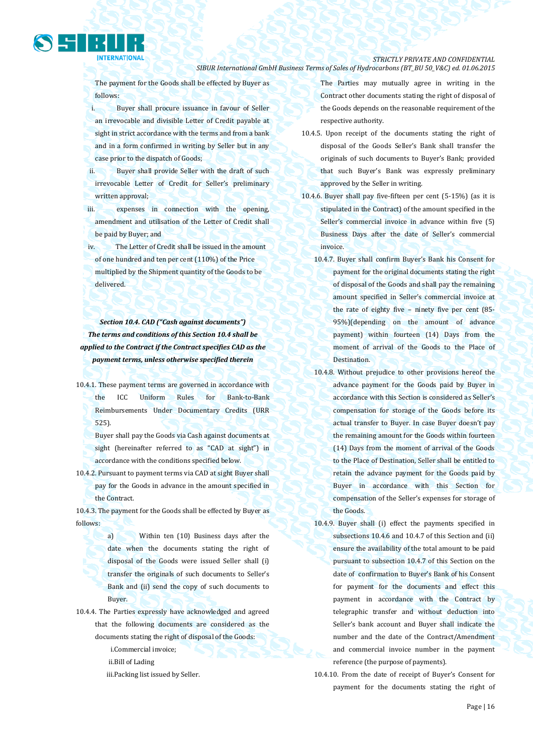The payment for the Goods shall be effected by Buyer as follows:

i. Buyer shall procure issuance in favour of Seller an irrevocable and divisible Letter of Credit payable at sight in strict accordance with the terms and from a bank and in a form confirmed in writing by Seller but in any case prior to the dispatch of Goods;

ii. Buyer shall provide Seller with the draft of such irrevocable Letter of Credit for Seller's preliminary written approval;

iii. expenses in connection with the opening, amendment and utilisation of the Letter of Credit shall be paid by Buyer; and

iv. The Letter of Credit shall be issued in the amount of one hundred and ten per cent (110%) of the Price multiplied by the Shipment quantity of the Goods to be delivered.

*Section 10.4. CAD ("Cash against documents") The terms and conditions of this Section 10.4 shall be applied to the Contract if the Contract specifies CAD as the payment terms, unless otherwise specified therein*

10.4.1. These payment terms are governed in accordance with the ICC Uniform Rules for Bank-to-Bank Reimbursements Under Documentary Credits (URR 525).

Buyer shall pay the Goods via Cash against documents at sight (hereinafter referred to as "CAD at sight") in accordance with the conditions specified below.

10.4.2. Pursuant to payment terms via CAD at sight Buyer shall pay for the Goods in advance in the amount specified in the Contract.

10.4.3. The payment for the Goods shall be effected by Buyer as follows:

> a) Within ten (10) Business days after the date when the documents stating the right of disposal of the Goods were issued Seller shall (i) transfer the originals of such documents to Seller's Bank and (ii) send the copy of such documents to Buyer.

10.4.4. The Parties expressly have acknowledged and agreed that the following documents are considered as the documents stating the right of disposal of the Goods:

i.Commercial invoice;

ii.Bill of Lading

iii.Packing list issued by Seller.

The Parties may mutually agree in writing in the Contract other documents stating the right of disposal of the Goods depends on the reasonable requirement of the respective authority.

- 10.4.5. Upon receipt of the documents stating the right of disposal of the Goods Seller's Bank shall transfer the originals of such documents to Buyer's Bank; provided that such Buyer's Bank was expressly preliminary approved by the Seller in writing.
- 10.4.6. Buyer shall pay five-fifteen per cent (5-15%) (as it is stipulated in the Contract) of the amount specified in the Seller's commercial invoice in advance within five (5) Business Days after the date of Seller's commercial invoice.
	- 10.4.7. Buyer shall confirm Buyer's Bank his Consent for payment for the original documents stating the right of disposal of the Goods and shall pay the remaining amount specified in Seller's commercial invoice at the rate of eighty five – ninety five per cent (85- 95%)(depending on the amount of advance payment) within fourteen (14) Days from the moment of arrival of the Goods to the Place of Destination.
	- 10.4.8. Without prejudice to other provisions hereof the advance payment for the Goods paid by Buyer in accordance with this Section is considered as Seller's compensation for storage of the Goods before its actual transfer to Buyer. In case Buyer doesn't pay the remaining amount for the Goods within fourteen (14) Days from the moment of arrival of the Goods to the Place of Destination, Seller shall be entitled to retain the advance payment for the Goods paid by Buyer in accordance with this Section for compensation of the Seller's expenses for storage of the Goods.
	- 10.4.9. Buyer shall (i) effect the payments specified in subsections 10.4.6 and 10.4.7 of this Section and (ii) ensure the availability of the total amount to be paid pursuant to subsection 10.4.7 of this Section on the date of confirmation to Buyer's Bank of his Consent for payment for the documents and effect this payment in accordance with the Contract by telegraphic transfer and without deduction into Seller's bank account and Buyer shall indicate the number and the date of the Contract/Amendment and commercial invoice number in the payment reference (the purpose of payments).
	- 10.4.10. From the date of receipt of Buyer's Consent for payment for the documents stating the right of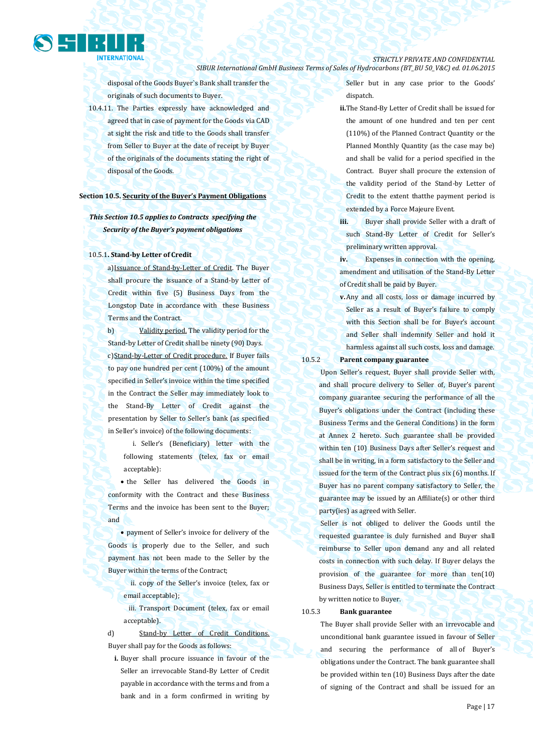

disposal of the Goods Buyer`s Bank shall transfer the originals of such documents to Buyer.

10.4.11. The Parties expressly have acknowledged and agreed that in case of payment for the Goods via CAD at sight the risk and title to the Goods shall transfer from Seller to Buyer at the date of receipt by Buyer of the originals of the documents stating the right of disposal of the Goods.

## **Section 10.5. Security of the Buyer's Payment Obligations**

## *This Section 10.5 applies to Contracts specifying the Security of the Buyer's payment obligations*

#### 10.5.1**. Stand-by Letter of Credit**

a)Issuance of Stand-by-Letter of Credit. The Buyer shall procure the issuance of a Stand-by Letter of Credit within five (5) Business Days from the Longstop Date in accordance with these Business Terms and the Contract.

b) Validity period. The validity period for the Stand-by Letter of Credit shall be ninety (90) Days. c) Stand-by-Letter of Credit procedure. If Buyer fails to pay one hundred per cent (100%) of the amount specified in Seller's invoice within the time specified in the Contract the Seller may immediately look to the Stand-By Letter of Credit against the presentation by Seller to Seller's bank (as specified in Seller's invoice) of the following documents:

i. Seller's (Beneficiary) letter with the following statements (telex, fax or email acceptable):

• the Seller has delivered the Goods in conformity with the Contract and these Business Terms and the invoice has been sent to the Buyer; and

 payment of Seller's invoice for delivery of the Goods is properly due to the Seller, and such payment has not been made to the Seller by the Buyer within the terms of the Contract;

ii. copy of the Seller's invoice (telex, fax or email acceptable);

iii. Transport Document (telex, fax or email acceptable).

d) Stand-by Letter of Credit Conditions. Buyer shall pay for the Goods as follows:

**i.** Buyer shall procure issuance in favour of the Seller an irrevocable Stand-By Letter of Credit payable in accordance with the terms and from a bank and in a form confirmed in writing by

Seller but in any case prior to the Goods' dispatch.

**ii.**The Stand-By Letter of Credit shall be issued for the amount of one hundred and ten per cent (110%) of the Planned Contract Quantity or the Planned Monthly Quantity (as the case may be) and shall be valid for a period specified in the Contract. Buyer shall procure the extension of the validity period of the Stand-by Letter of Credit to the extent thatthe payment period is extended by a Force Majeure Event.

**iii.** Buyer shall provide Seller with a draft of such Stand-By Letter of Credit for Seller's preliminary written approval.

**iv.** Expenses in connection with the opening, amendment and utilisation of the Stand-By Letter of Credit shall be paid by Buyer.

**v.**Any and all costs, loss or damage incurred by Seller as a result of Buyer's failure to comply with this Section shall be for Buyer's account and Seller shall indemnify Seller and hold it harmless against all such costs, loss and damage.

## 10.5.2 **Parent company guarantee**

Upon Seller's request, Buyer shall provide Seller with, and shall procure delivery to Seller of, Buyer's parent company guarantee securing the performance of all the Buyer's obligations under the Contract (including these Business Terms and the General Conditions) in the form at Annex 2 hereto. Such guarantee shall be provided within ten (10) Business Days after Seller's request and shall be in writing, in a form satisfactory to the Seller and issued for the term of the Contract plus six (6) months. If Buyer has no parent company satisfactory to Seller, the guarantee may be issued by an Affiliate(s) or other third party(ies) as agreed with Seller.

Seller is not obliged to deliver the Goods until the requested guarantee is duly furnished and Buyer shall reimburse to Seller upon demand any and all related costs in connection with such delay. If Buyer delays the provision of the guarantee for more than ten(10) Business Days, Seller is entitled to terminate the Contract by written notice to Buyer.

10.5.3 **Bank guarantee**

The Buyer shall provide Seller with an irrevocable and unconditional bank guarantee issued in favour of Seller and securing the performance of all of Buyer's obligations under the Contract. The bank guarantee shall be provided within ten (10) Business Days after the date of signing of the Contract and shall be issued for an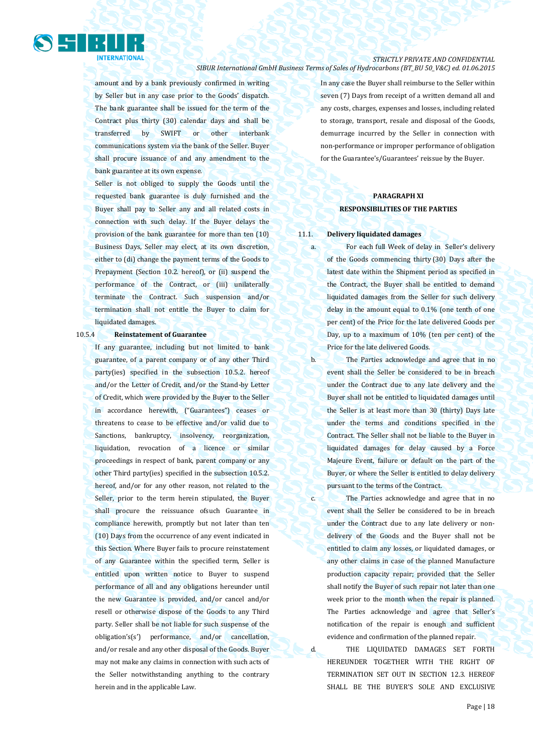

amount and by a bank previously confirmed in writing by Seller but in any case prior to the Goods' dispatch. The bank guarantee shall be issued for the term of the Contract plus thirty (30) calendar days and shall be transferred by SWIFT or other interbank communications system via the bank of the Seller. Buyer shall procure issuance of and any amendment to the bank guarantee at its own expense.

Seller is not obliged to supply the Goods until the requested bank guarantee is duly furnished and the Buyer shall pay to Seller any and all related costs in connection with such delay. If the Buyer delays the provision of the bank guarantee for more than ten (10) Business Days, Seller may elect, at its own discretion, either to (di) change the payment terms of the Goods to Prepayment (Section 10.2. hereof), or (ii) suspend the performance of the Contract, or (iii) unilaterally terminate the Contract. Such suspension and/or termination shall not entitle the Buyer to claim for liquidated damages.

#### 10.5.4 **Reinstatement of Guarantee**

If any guarantee, including but not limited to bank guarantee, of a parent company or of any other Third party(ies) specified in the subsection 10.5.2. hereof and/or the Letter of Credit, and/or the Stand-by Letter of Credit, which were provided by the Buyer to the Seller in accordance herewith, ("Guarantees") ceases or threatens to cease to be effective and/or valid due to Sanctions, bankruptcy, insolvency, reorganization, liquidation, revocation of a licence or similar proceedings in respect of bank, parent company or any other Third party(ies) specified in the subsection 10.5.2. hereof, and/or for any other reason, not related to the Seller, prior to the term herein stipulated, the Buyer shall procure the reissuance ofsuch Guarantee in compliance herewith, promptly but not later than ten (10) Days from the occurrence of any event indicated in this Section. Where Buyer fails to procure reinstatement of any Guarantee within the specified term, Seller is entitled upon written notice to Buyer to suspend performance of all and any obligations hereunder until the new Guarantee is provided, and/or cancel and/or resell or otherwise dispose of the Goods to any Third party. Seller shall be not liable for such suspense of the obligation's(s') performance, and/or cancellation, and/or resale and any other disposal of the Goods. Buyer may not make any claims in connection with such acts of the Seller notwithstanding anything to the contrary herein and in the applicable Law.

In any case the Buyer shall reimburse to the Seller within seven (7) Days from receipt of a written demand all and any costs, charges, expenses and losses, including related to storage, transport, resale and disposal of the Goods, demurrage incurred by the Seller in connection with non-performance or improper performance of obligation for the Guarantee's/Guarantees' reissue by the Buyer.

## **PARAGRAPH XI RESPONSIBILITIES OF THE PARTIES**

#### 11.1. **Delivery liquidated damages**

a. For each full Week of delay in Seller's delivery of the Goods commencing thirty (30) Days after the latest date within the Shipment period as specified in the Contract, the Buyer shall be entitled to demand liquidated damages from the Seller for such delivery delay in the amount equal to 0.1% (one tenth of one per cent) of the Price for the late delivered Goods per Day, up to a maximum of 10% (ten per cent) of the Price for the late delivered Goods.

b. The Parties acknowledge and agree that in no event shall the Seller be considered to be in breach under the Contract due to any late delivery and the Buyer shall not be entitled to liquidated damages until the Seller is at least more than 30 (thirty) Days late under the terms and conditions specified in the Contract. The Seller shall not be liable to the Buyer in liquidated damages for delay caused by a Force Majeure Event, failure or default on the part of the Buyer, or where the Seller is entitled to delay delivery pursuant to the terms of the Contract.

c. The Parties acknowledge and agree that in no event shall the Seller be considered to be in breach under the Contract due to any late delivery or nondelivery of the Goods and the Buyer shall not be entitled to claim any losses, or liquidated damages, or any other claims in case of the planned Manufacture production capacity repair; provided that the Seller shall notify the Buyer of such repair not later than one week prior to the month when the repair is planned. The Parties acknowledge and agree that Seller's notification of the repair is enough and sufficient evidence and confirmation of the planned repair.

d. THE LIQUIDATED DAMAGES SET FORTH HEREUNDER TOGETHER WITH THE RIGHT OF TERMINATION SET OUT IN SECTION 12.3. HEREOF SHALL BE THE BUYER'S SOLE AND EXCLUSIVE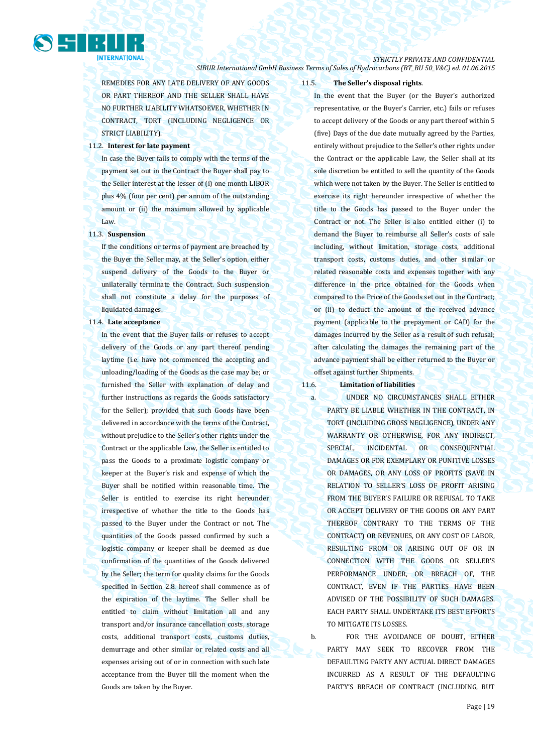## *STRICTLY PRIVATE AND CONFIDENTIAL*

*SIBUR International GmbH Business Terms of Sales of Hydrocarbons (BT\_BU 50\_V&C) ed. 01.06.2015*

REMEDIES FOR ANY LATE DELIVERY OF ANY GOODS OR PART THEREOF AND THE SELLER SHALL HAVE NO FURTHER LIABILITY WHATSOEVER, WHETHER IN CONTRACT, TORT (INCLUDING NEGLIGENCE OR STRICT LIABILITY).

## 11.2. **Interest for late payment**

In case the Buyer fails to comply with the terms of the payment set out in the Contract the Buyer shall pay to the Seller interest at the lesser of (i) one month LIBOR plus 4% (four per cent) per annum of the outstanding amount or (ii) the maximum allowed by applicable Law.

## 11.3. **Suspension**

If the conditions or terms of payment are breached by the Buyer the Seller may, at the Seller's option, either suspend delivery of the Goods to the Buyer or unilaterally terminate the Contract. Such suspension shall not constitute a delay for the purposes of liquidated damages.

#### 11.4. **Late acceptance**

In the event that the Buyer fails or refuses to accept delivery of the Goods or any part thereof pending laytime (i.e. have not commenced the accepting and unloading/loading of the Goods as the case may be; or furnished the Seller with explanation of delay and further instructions as regards the Goods satisfactory for the Seller); provided that such Goods have been delivered in accordance with the terms of the Contract, without prejudice to the Seller's other rights under the Contract or the applicable Law, the Seller is entitled to pass the Goods to a proximate logistic company or keeper at the Buyer's risk and expense of which the Buyer shall be notified within reasonable time. The Seller is entitled to exercise its right hereunder irrespective of whether the title to the Goods has passed to the Buyer under the Contract or not. The quantities of the Goods passed confirmed by such a logistic company or keeper shall be deemed as due confirmation of the quantities of the Goods delivered by the Seller; the term for quality claims for the Goods specified in Section 2.8. hereof shall commence as of the expiration of the laytime. The Seller shall be entitled to claim without limitation all and any transport and/or insurance cancellation costs, storage costs, additional transport costs, customs duties, demurrage and other similar or related costs and all expenses arising out of or in connection with such late acceptance from the Buyer till the moment when the Goods are taken by the Buyer.

## 11.5. **The Seller's disposal rights**.

In the event that the Buyer (or the Buyer's authorized representative, or the Buyer's Carrier, etc.) fails or refuses to accept delivery of the Goods or any part thereof within 5 (five) Days of the due date mutually agreed by the Parties, entirely without prejudice to the Seller's other rights under the Contract or the applicable Law, the Seller shall at its sole discretion be entitled to sell the quantity of the Goods which were not taken by the Buyer. The Seller is entitled to exercise its right hereunder irrespective of whether the title to the Goods has passed to the Buyer under the Contract or not. The Seller is also entitled either (i) to demand the Buyer to reimburse all Seller's costs of sale including, without limitation, storage costs, additional transport costs, customs duties, and other similar or related reasonable costs and expenses together with any difference in the price obtained for the Goods when compared to the Price of the Goods set out in the Contract; or (ii) to deduct the amount of the received advance payment (applicable to the prepayment or CAD) for the damages incurred by the Seller as a result of such refusal; after calculating the damages the remaining part of the advance payment shall be either returned to the Buyer or offset against further Shipments.

## 11.6. **Limitation of liabilities**

a. UNDER NO CIRCUMSTANCES SHALL EITHER PARTY BE LIABLE WHETHER IN THE CONTRACT, IN TORT (INCLUDING GROSS NEGLIGENCE), UNDER ANY WARRANTY OR OTHERWISE, FOR ANY INDIRECT, SPECIAL, INCIDENTAL OR CONSEQUENTIAL DAMAGES OR FOR EXEMPLARY OR PUNITIVE LOSSES OR DAMAGES, OR ANY LOSS OF PROFITS (SAVE IN RELATION TO SELLER'S LOSS OF PROFIT ARISING FROM THE BUYER'S FAILURE OR REFUSAL TO TAKE OR ACCEPT DELIVERY OF THE GOODS OR ANY PART THEREOF CONTRARY TO THE TERMS OF THE CONTRACT) OR REVENUES, OR ANY COST OF LABOR, RESULTING FROM OR ARISING OUT OF OR IN CONNECTION WITH THE GOODS OR SELLER'S PERFORMANCE UNDER, OR BREACH OF, THE CONTRACT, EVEN IF THE PARTIES HAVE BEEN ADVISED OF THE POSSIBILITY OF SUCH DAMAGES. EACH PARTY SHALL UNDERTAKE ITS BEST EFFORTS TO MITIGATE ITS LOSSES.

b. FOR THE AVOIDANCE OF DOUBT, EITHER PARTY MAY SEEK TO RECOVER FROM THE DEFAULTING PARTY ANY ACTUAL DIRECT DAMAGES INCURRED AS A RESULT OF THE DEFAULTING PARTY'S BREACH OF CONTRACT (INCLUDING, BUT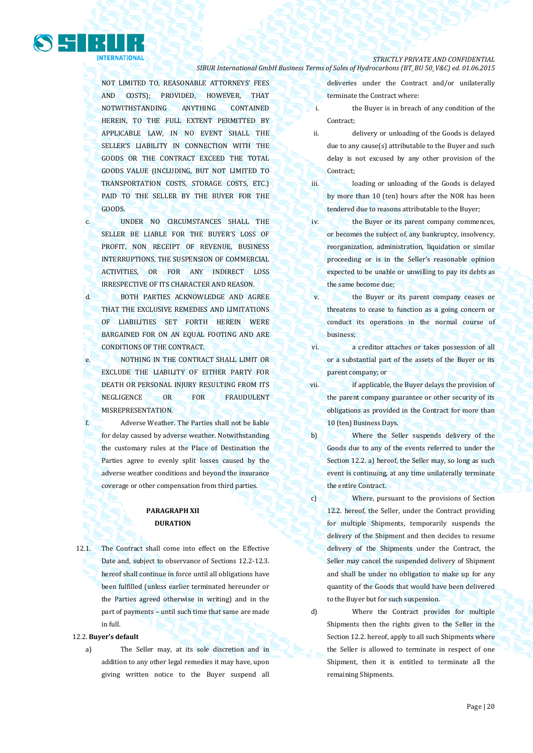

NOT LIMITED TO, REASONABLE ATTORNEYS' FEES AND COSTS); PROVIDED, HOWEVER, THAT NOTWITHSTANDING ANYTHING CONTAINED HEREIN, TO THE FULL EXTENT PERMITTED BY APPLICABLE LAW, IN NO EVENT SHALL THE SELLER'S LIABILITY IN CONNECTION WITH THE GOODS OR THE CONTRACT EXCEED THE TOTAL GOODS VALUE (INCLUDING, BUT NOT LIMITED TO TRANSPORTATION COSTS, STORAGE COSTS, ETC.) PAID TO THE SELLER BY THE BUYER FOR THE GOODS.

- c. UNDER NO CIRCUMSTANCES SHALL THE SELLER BE LIABLE FOR THE BUYER'S LOSS OF PROFIT, NON RECEIPT OF REVENUE, BUSINESS INTERRUPTIONS, THE SUSPENSION OF COMMERCIAL ACTIVITIES, OR FOR ANY INDIRECT LOSS IRRESPECTIVE OF ITS CHARACTER AND REASON.
- d. BOTH PARTIES ACKNOWLEDGE AND AGREE THAT THE EXCLUSIVE REMEDIES AND LIMITATIONS OF LIABILITIES SET FORTH HEREIN WERE BARGAINED FOR ON AN EQUAL FOOTING AND ARE CONDITIONS OF THE CONTRACT.
- e. NOTHING IN THE CONTRACT SHALL LIMIT OR EXCLUDE THE LIABILITY OF EITHER PARTY FOR DEATH OR PERSONAL INJURY RESULTING FROM ITS NEGLIGENCE OR FOR FRAUDULENT MISREPRESENTATION.
- f. Adverse Weather. The Parties shall not be liable for delay caused by adverse weather. Notwithstanding the customary rules at the Place of Destination the Parties agree to evenly split losses caused by the adverse weather conditions and beyond the insurance coverage or other compensation from third parties.

## **PARAGRAPH XII DURATION**

12.1. The Contract shall come into effect on the Effective Date and, subject to observance of Sections 12.2-12.3. hereof shall continue in force until all obligations have been fulfilled (unless earlier terminated hereunder or the Parties agreed otherwise in writing) and in the part of payments – until such time that same are made in full.

#### 12.2. **Buyer's default**

a) The Seller may, at its sole discretion and in addition to any other legal remedies it may have, upon giving written notice to the Buyer suspend all

deliveries under the Contract and/or unilaterally terminate the Contract where:

- i. the Buyer is in breach of any condition of the Contract;
- ii. delivery or unloading of the Goods is delayed due to any cause(s) attributable to the Buyer and such delay is not excused by any other provision of the Contract;
- iii. loading or unloading of the Goods is delayed by more than 10 (ten) hours after the NOR has been tendered due to reasons attributable to the Buyer;
- iv. the Buyer or its parent company commences, or becomes the subject of, any bankruptcy, insolvency, reorganization, administration, liquidation or similar proceeding or is in the Seller's reasonable opinion expected to be unable or unwilling to pay its debts as the same become due;
- v. the Buyer or its parent company ceases or threatens to cease to function as a going concern or conduct its operations in the normal course of business;
- vi. a creditor attaches or takes possession of all or a substantial part of the assets of the Buyer or its parent company; or
- vii. **if applicable, the Buyer delays the provision of** the parent company guarantee or other security of its obligations as provided in the Contract for more than 10 (ten) Business Days.
- b) Where the Seller suspends delivery of the Goods due to any of the events referred to under the Section 12.2. a) hereof, the Seller may, so long as such event is continuing, at any time unilaterally terminate the entire Contract.
- c) Where, pursuant to the provisions of Section 12.2. hereof, the Seller, under the Contract providing for multiple Shipments, temporarily suspends the delivery of the Shipment and then decides to resume delivery of the Shipments under the Contract, the Seller may cancel the suspended delivery of Shipment and shall be under no obligation to make up for any quantity of the Goods that would have been delivered to the Buyer but for such suspension.

d) Where the Contract provides for multiple Shipments then the rights given to the Seller in the Section 12.2. hereof, apply to all such Shipments where the Seller is allowed to terminate in respect of one Shipment, then it is entitled to terminate all the remaining Shipments.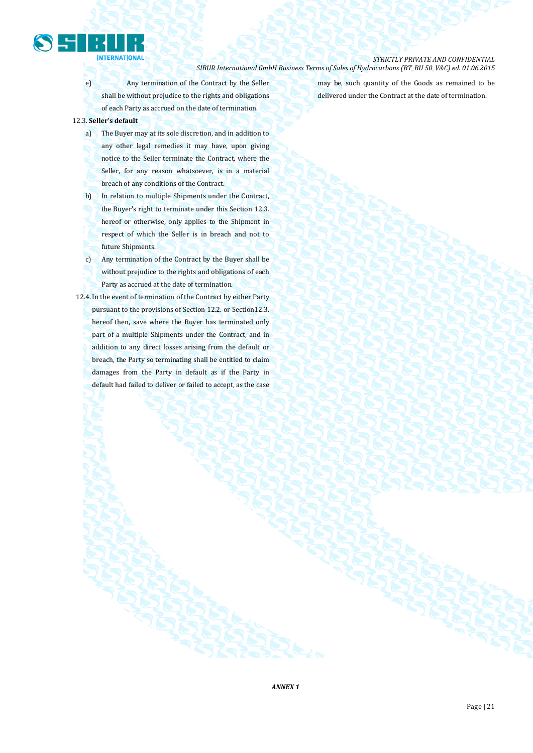

e) Any termination of the Contract by the Seller shall be without prejudice to the rights and obligations of each Party as accrued on the date of termination.

## 12.3. **Seller's default**

- a) The Buyer may at its sole discretion, and in addition to any other legal remedies it may have, upon giving notice to the Seller terminate the Contract, where the Seller, for any reason whatsoever, is in a material breach of any conditions of the Contract.
- b) In relation to multiple Shipments under the Contract, the Buyer's right to terminate under this Section 12.3. hereof or otherwise, only applies to the Shipment in respect of which the Seller is in breach and not to future Shipments.
- c) Any termination of the Contract by the Buyer shall be without prejudice to the rights and obligations of each Party as accrued at the date of termination.
- 12.4. In the event of termination of the Contract by either Party pursuant to the provisions of Section 12.2. or Section 12.3. hereof then, save where the Buyer has terminated only part of a multiple Shipments under the Contract, and in addition to any direct losses arising from the default or breach, the Party so terminating shall be entitled to claim damages from the Party in default as if the Party in default had failed to deliver or failed to accept, as the case

may be, such quantity of the Goods as remained to be delivered under the Contract at the date of termination.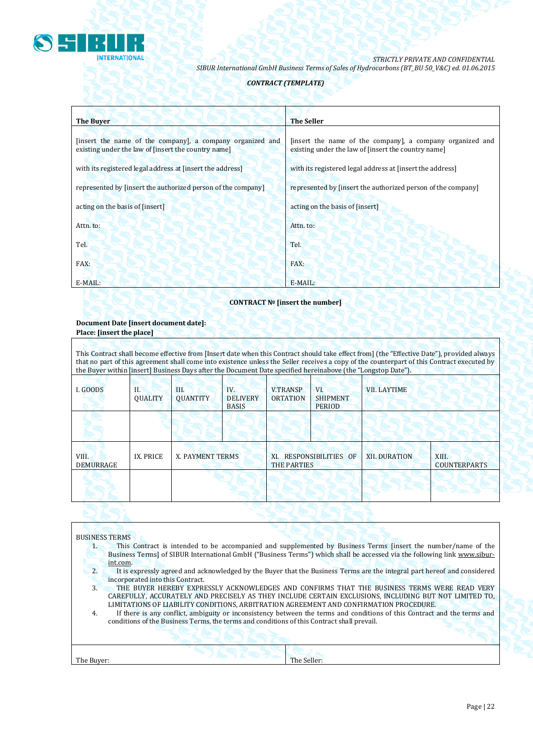

## *CONTRACT (TEMPLATE)*

| <b>The Buyer</b>                                                                                                 | <b>The Seller</b>                                                                                                |
|------------------------------------------------------------------------------------------------------------------|------------------------------------------------------------------------------------------------------------------|
| [insert the name of the company], a company organized and<br>existing under the law of [insert the country name] | [insert the name of the company], a company organized and<br>existing under the law of [insert the country name] |
| with its registered legal address at finsert the address                                                         | with its registered legal address at [insert the address]                                                        |
| represented by [insert the authorized person of the company]                                                     | represented by [insert the authorized person of the company]                                                     |
| acting on the basis of [insert]                                                                                  | acting on the basis of [insert]                                                                                  |
| Attn. to:                                                                                                        | Attn. to:                                                                                                        |
| Tel.                                                                                                             | Tel.                                                                                                             |
| FAX:                                                                                                             | FAX:                                                                                                             |
| E-MAIL:                                                                                                          | E-MAIL:                                                                                                          |

## **CONTRACT № [insert the number]**

## **Document Date [insert document date]: Place: [insert the place]**

This Contract shall become effective from [Insert date when this Contract should take effect from] (the "Effective Date"), provided always that no part of this agreement shall come into existence unless the Seller receives a copy of the counterpart of this Contract executed by the Buyer within [insert] Business Days after the Document Date specified hereinabove (the "Longstop Date").

| I. GOODS                  | П.<br><b>QUALITY</b> | III.<br><b>QUANTITY</b> | IV.<br><b>DELIVERY</b><br><b>BASIS</b> | <b>V.TRANSP</b><br><b>ORTATION</b>            | VI.<br><b>SHIPMENT</b><br><b>PERIOD</b> | <b>VII. LAYTIME</b>  |                              |
|---------------------------|----------------------|-------------------------|----------------------------------------|-----------------------------------------------|-----------------------------------------|----------------------|------------------------------|
|                           |                      |                         |                                        |                                               |                                         |                      |                              |
| VIII.<br><b>DEMURRAGE</b> | IX. PRICE            | X. PAYMENT TERMS        |                                        | XI. RESPONSIBILITIES OF<br><b>THE PARTIES</b> |                                         | <b>XII. DURATION</b> | XIII.<br><b>COUNTERPARTS</b> |
|                           |                      |                         |                                        |                                               |                                         |                      |                              |
|                           |                      |                         |                                        |                                               |                                         |                      |                              |

## BUSINESS TERMS

- 1. This Contract is intended to be accompanied and supplemented by Business Terms [insert the number/name of the Business Terms] of SIBUR International GmbH ("Business Terms") which shall be accessed via the following link [www.sibur](http://www.sibur-int.com/)[int.com.](http://www.sibur-int.com/)
- 2. It is expressly agreed and acknowledged by the Buyer that the Business Terms are the integral part hereof and considered incorporated into this Contract.
- 3. THE BUYER HEREBY EXPRESSLY ACKNOWLEDGES AND CONFIRMS THAT THE BUSINESS TERMS WERE READ VERY CAREFULLY, ACCURATELY AND PRECISELY AS THEY INCLUDE CERTAIN EXCLUSIONS, INCLUDING BUT NOT LIMITED TO, LIMITATIONS OF LIABILITY CONDITIONS, ARBITRATION AGREEMENT AND CONFIRMATION PROCEDURE.
- 4. If there is any conflict, ambiguity or inconsistency between the terms and conditions of this Contract and the terms and conditions of the Business Terms, the terms and conditions of this Contract shall prevail.

| The Buyer: | The Seller: |
|------------|-------------|
|            |             |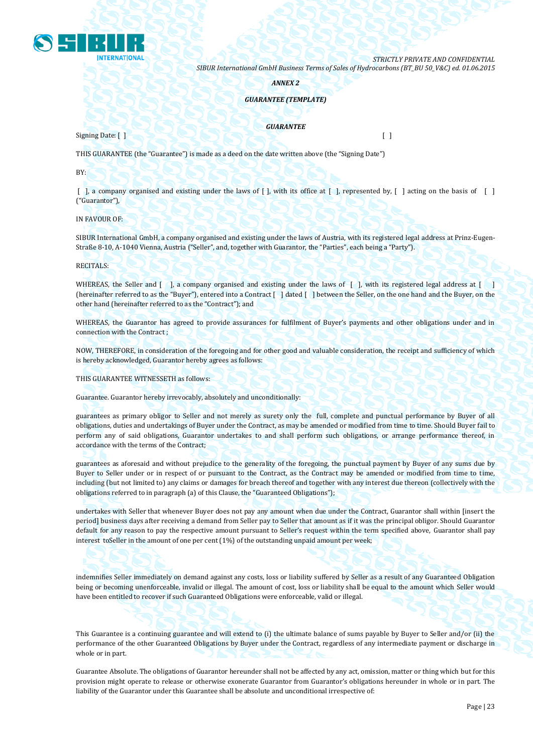

*ANNEX 2*

## *GUARANTEE (TEMPLATE)*

*GUARANTEE*

Signing Date: [ ] [ ]

THIS GUARANTEE (the "Guarantee") is made as a deed on the date written above (the "Signing Date")

BY:

[ ], a company organised and existing under the laws of [ ], with its office at [ ], represented by, [ ] acting on the basis of [ ] ("Guarantor"),

IN FAVOUR OF:

SIBUR International GmbH, a company organised and existing under the laws of Austria, with its registered legal address at Prinz-Eugen-Straße 8-10, A-1040 Vienna, Austria ("Seller", and, together with Guarantor, the "Parties", each being a "Party").

RECITALS:

WHEREAS, the Seller and  $\lceil \cdot \rceil$ , a company organised and existing under the laws of  $\lceil \cdot \rceil$ , with its registered legal address at  $\lceil \cdot \rceil$ (hereinafter referred to as the "Buyer"), entered into a Contract [ ] dated [ ] between the Seller, on the one hand and the Buyer, on the other hand (hereinafter referred to as the "Contract"); and

WHEREAS, the Guarantor has agreed to provide assurances for fulfilment of Buyer's payments and other obligations under and in connection with the Contract ;

NOW, THEREFORE, in consideration of the foregoing and for other good and valuable consideration, the receipt and sufficiency of which is hereby acknowledged, Guarantor hereby agrees as follows:

THIS GUARANTEE WITNESSETH as follows:

Guarantee. Guarantor hereby irrevocably, absolutely and unconditionally:

guarantees as primary obligor to Seller and not merely as surety only the full, complete and punctual performance by Buyer of all obligations, duties and undertakings of Buyer under the Contract, as may be amended or modified from time to time. Should Buyer fail to perform any of said obligations, Guarantor undertakes to and shall perform such obligations, or arrange performance thereof, in accordance with the terms of the Contract;

guarantees as aforesaid and without prejudice to the generality of the foregoing, the punctual payment by Buyer of any sums due by Buyer to Seller under or in respect of or pursuant to the Contract, as the Contract may be amended or modified from time to time, including (but not limited to) any claims or damages for breach thereof and together with any interest due thereon (collectively with the obligations referred to in paragraph (a) of this Clause, the "Guaranteed Obligations");

undertakes with Seller that whenever Buyer does not pay any amount when due under the Contract, Guarantor shall within [insert the period] business days after receiving a demand from Seller pay to Seller that amount as if it was the principal obligor. Should Guarantor default for any reason to pay the respective amount pursuant to Seller's request within the term specified above, Guarantor shall pay interest toSeller in the amount of one per cent (1%) of the outstanding unpaid amount per week;

indemnifies Seller immediately on demand against any costs, loss or liability suffered by Seller as a result of any Guaranteed Obligation being or becoming unenforceable, invalid or illegal. The amount of cost, loss or liability shall be equal to the amount which Seller would have been entitled to recover if such Guaranteed Obligations were enforceable, valid or illegal.

This Guarantee is a continuing guarantee and will extend to (i) the ultimate balance of sums payable by Buyer to Seller and/or (ii) the performance of the other Guaranteed Obligations by Buyer under the Contract, regardless of any intermediate payment or discharge in whole or in part.

Guarantee Absolute. The obligations of Guarantor hereunder shall not be affected by any act, omission, matter or thing which but for this provision might operate to release or otherwise exonerate Guarantor from Guarantor's obligations hereunder in whole or in part. The liability of the Guarantor under this Guarantee shall be absolute and unconditional irrespective of: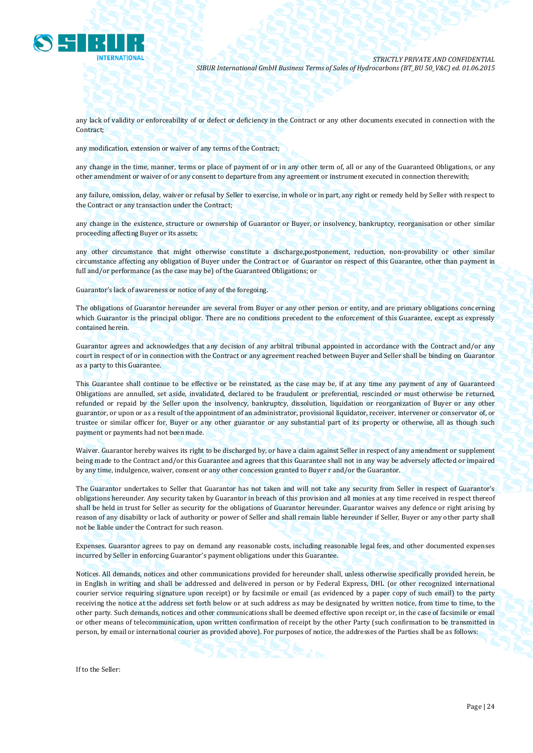

any lack of validity or enforceability of or defect or deficiency in the Contract or any other documents executed in connection with the Contract;

any modification, extension or waiver of any terms of the Contract;

any change in the time, manner, terms or place of payment of or in any other term of, all or any of the Guaranteed Obligations, or any other amendment or waiver of or any consent to departure from any agreement or instrument executed in connection therewith;

any failure, omission, delay, waiver or refusal by Seller to exercise, in whole or in part, any right or remedy held by Seller with respect to the Contract or any transaction under the Contract;

any change in the existence, structure or ownership of Guarantor or Buyer, or insolvency, bankruptcy, reorganisation or other similar proceeding affecting Buyer or its assets;

any other circumstance that might otherwise constitute a discharge,postponement, reduction, non-provability or other similar circumstance affecting any obligation of Buyer under the Contract or of Guarantor on respect of this Guarantee, other than payment in full and/or performance (as the case may be) of the Guaranteed Obligations; or

Guarantor's lack of awareness or notice of any of the foregoing.

The obligations of Guarantor hereunder are several from Buyer or any other person or entity, and are primary obligations concerning which Guarantor is the principal obligor. There are no conditions precedent to the enforcement of this Guarantee, except as expressly contained herein.

Guarantor agrees and acknowledges that any decision of any arbitral tribunal appointed in accordance with the Contract and/or any court in respect of or in connection with the Contract or any agreement reached between Buyer and Seller shall be binding on Guarantor as a party to this Guarantee.

This Guarantee shall continue to be effective or be reinstated, as the case may be, if at any time any payment of any of Guaranteed Obligations are annulled, set aside, invalidated, declared to be fraudulent or preferential, rescinded or must otherwise be returned, refunded or repaid by the Seller upon the insolvency, bankruptcy, dissolution, liquidation or reorganization of Buyer or any other guarantor, or upon or as a result of the appointment of an administrator, provisional liquidator, receiver, intervener or conservator of, or trustee or similar officer for, Buyer or any other guarantor or any substantial part of its property or otherwise, all as though such payment or payments had not been made.

Waiver. Guarantor hereby waives its right to be discharged by, or have a claim against Seller in respect of any amendment or supplement being made to the Contract and/or this Guarantee and agrees that this Guarantee shall not in any way be adversely affected or impaired by any time, indulgence, waiver, consent or any other concession granted to Buyer r and/or the Guarantor.

The Guarantor undertakes to Seller that Guarantor has not taken and will not take any security from Seller in respect of Guarantor's obligations hereunder. Any security taken by Guarantor in breach of this provision and all monies at any time received in respect thereof shall be held in trust for Seller as security for the obligations of Guarantor hereunder. Guarantor waives any defence or right arising by reason of any disability or lack of authority or power of Seller and shall remain liable hereunder if Seller, Buyer or any other party shall not be liable under the Contract for such reason.

Expenses. Guarantor agrees to pay on demand any reasonable costs, including reasonable legal fees, and other documented expenses incurred by Seller in enforcing Guarantor's payment obligations under this Guarantee.

Notices. All demands, notices and other communications provided for hereunder shall, unless otherwise specifically provided herein, be in English in writing and shall be addressed and delivered in person or by Federal Express, DHL (or other recognized international courier service requiring signature upon receipt) or by facsimile or email (as evidenced by a paper copy of such email) to the party receiving the notice at the address set forth below or at such address as may be designated by written notice, from time to time, to the other party. Such demands, notices and other communications shall be deemed effective upon receipt or, in the case of facsimile or email or other means of telecommunication, upon written confirmation of receipt by the other Party (such confirmation to be transmitted in person, by email or international courier as provided above). For purposes of notice, the addresses of the Parties shall be as follows:

If to the Seller: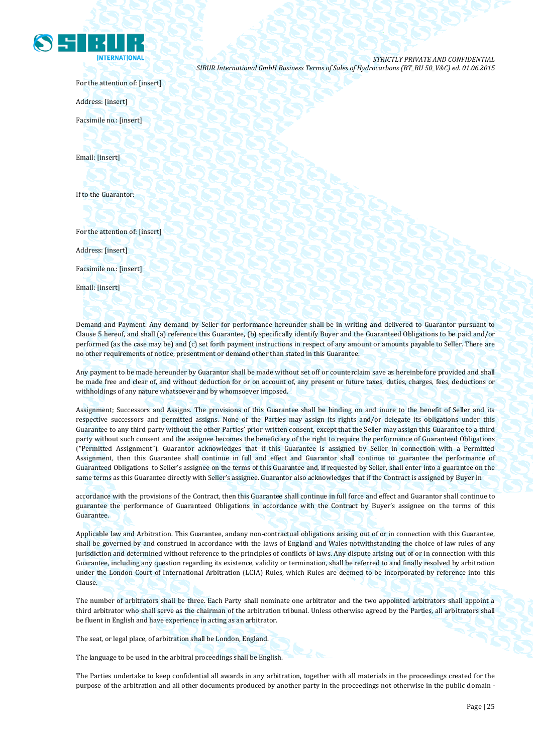

For the attention of: [insert]

Address: [insert]

Facsimile no.: [insert]

Email: [insert]

If to the Guarantor:

For the attention of: [insert]

Address: [insert]

Facsimile no.: [insert]

Email: [insert]

Demand and Payment. Any demand by Seller for performance hereunder shall be in writing and delivered to Guarantor pursuant to Clause 5 hereof, and shall (a) reference this Guarantee, (b) specifically identify Buyer and the Guaranteed Obligations to be paid and/or performed (as the case may be) and (c) set forth payment instructions in respect of any amount or amounts payable to Seller. There are no other requirements of notice, presentment or demand other than stated in this Guarantee.

Any payment to be made hereunder by Guarantor shall be made without set off or counterclaim save as hereinbefore provided and shall be made free and clear of, and without deduction for or on account of, any present or future taxes, duties, charges, fees, deductions or withholdings of any nature whatsoever and by whomsoever imposed.

Assignment; Successors and Assigns. The provisions of this Guarantee shall be binding on and inure to the benefit of Seller and its respective successors and permitted assigns. None of the Parties may assign its rights and/or delegate its obligations under this Guarantee to any third party without the other Parties' prior written consent, except that the Seller may assign this Guarantee to a third party without such consent and the assignee becomes the beneficiary of the right to require the performance of Guaranteed Obligations ("Permitted Assignment"). Guarantor acknowledges that if this Guarantee is assigned by Seller in connection with a Permitted Assignment, then this Guarantee shall continue in full and effect and Guarantor shall continue to guarantee the performance of Guaranteed Obligations to Seller's assignee on the terms of this Guarantee and, if requested by Seller, shall enter into a guarantee on the same terms as this Guarantee directly with Seller's assignee. Guarantor also acknowledges that if the Contract is assigned by Buyer in

accordance with the provisions of the Contract, then this Guarantee shall continue in full force and effect and Guarantor shall continue to guarantee the performance of Guaranteed Obligations in accordance with the Contract by Buyer's assignee on the terms of this Guarantee.

Applicable law and Arbitration. This Guarantee, andany non-contractual obligations arising out of or in connection with this Guarantee, shall be governed by and construed in accordance with the laws of England and Wales notwithstanding the choice of law rules of any jurisdiction and determined without reference to the principles of conflicts of laws. Any dispute arising out of or in connection with this Guarantee, including any question regarding its existence, validity or termination, shall be referred to and finally resolved by arbitration under the London Court of International Arbitration (LCIA) Rules, which Rules are deemed to be incorporated by reference into this Clause.

The number of arbitrators shall be three. Each Party shall nominate one arbitrator and the two appointed arbitrators shall appoint a third arbitrator who shall serve as the chairman of the arbitration tribunal. Unless otherwise agreed by the Parties, all arbitrators shall be fluent in English and have experience in acting as an arbitrator.

The seat, or legal place, of arbitration shall be London, England.

The language to be used in the arbitral proceedings shall be English.

The Parties undertake to keep confidential all awards in any arbitration, together with all materials in the proceedings created for the purpose of the arbitration and all other documents produced by another party in the proceedings not otherwise in the public domain -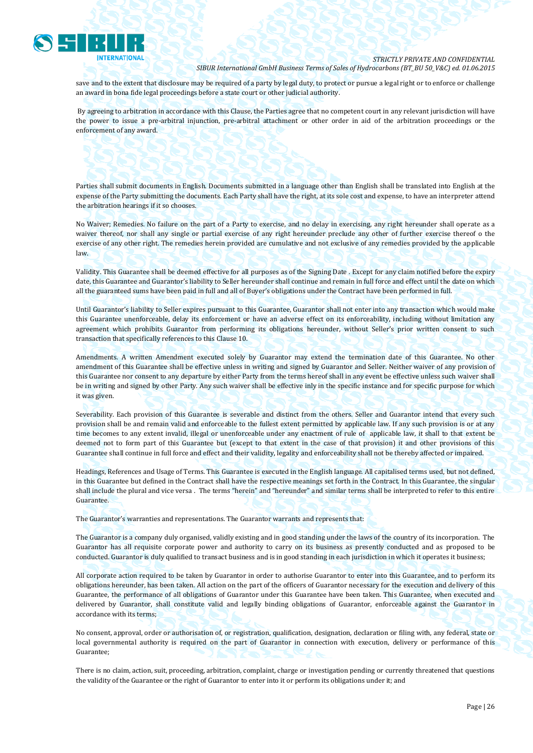

save and to the extent that disclosure may be required of a party by legal duty, to protect or pursue a legal right or to enforce or challenge an award in bona fide legal proceedings before a state court or other judicial authority.

By agreeing to arbitration in accordance with this Clause, the Parties agree that no competent court in any relevant jurisdiction will have the power to issue a pre-arbitral injunction, pre-arbitral attachment or other order in aid of the arbitration proceedings or the enforcement of any award.

Parties shall submit documents in English. Documents submitted in a language other than English shall be translated into English at the expense of the Party submitting the documents. Each Party shall have the right, at its sole cost and expense, to have an interpreter attend the arbitration hearings if it so chooses.

No Waiver; Remedies. No failure on the part of a Party to exercise, and no delay in exercising, any right hereunder shall operate as a waiver thereof, nor shall any single or partial exercise of any right hereunder preclude any other of further exercise thereof o the exercise of any other right. The remedies herein provided are cumulative and not exclusive of any remedies provided by the applicable law.

Validity. This Guarantee shall be deemed effective for all purposes as of the Signing Date . Except for any claim notified before the expiry date, this Guarantee and Guarantor's liability to Seller hereunder shall continue and remain in full force and effect until the date on which all the guaranteed sums have been paid in full and all of Buyer's obligations under the Contract have been performed in full.

Until Guarantor's liability to Seller expires pursuant to this Guarantee, Guarantor shall not enter into any transaction which would make this Guarantee unenforceable, delay its enforcement or have an adverse effect on its enforceability, including without limitation any agreement which prohibits Guarantor from performing its obligations hereunder, without Seller's prior written consent to such transaction that specifically references to this Clause 10.

Amendments. A written Amendment executed solely by Guarantor may extend the termination date of this Guarantee. No other amendment of this Guarantee shall be effective unless in writing and signed by Guarantor and Seller. Neither waiver of any provision of this Guarantee nor consent to any departure by either Party from the terms hereof shall in any event be effective unless such waiver shall be in writing and signed by other Party. Any such waiver shall be effective inly in the specific instance and for specific purpose for which it was given.

Severability. Each provision of this Guarantee is severable and distinct from the others. Seller and Guarantor intend that every such provision shall be and remain valid and enforceable to the fullest extent permitted by applicable law. If any such provision is or at any time becomes to any extent invalid, illegal or unenforceable under any enactment of rule of applicable law, it shall to that extent be deemed not to form part of this Guarantee but (except to that extent in the case of that provision) it and other provisions of this Guarantee shall continue in full force and effect and their validity, legality and enforceability shall not be thereby affected or impaired.

Headings, References and Usage of Terms. This Guarantee is executed in the English language. All capitalised terms used, but not defined, in this Guarantee but defined in the Contract shall have the respective meanings set forth in the Contract. In this Guarantee, the singular shall include the plural and vice versa . The terms "herein" and "hereunder" and similar terms shall be interpreted to refer to this entire Guarantee.

The Guarantor's warranties and representations. The Guarantor warrants and represents that:

The Guarantor is a company duly organised, validly existing and in good standing under the laws of the country of its incorporation. The Guarantor has all requisite corporate power and authority to carry on its business as presently conducted and as proposed to be conducted. Guarantor is duly qualified to transact business and is in good standing in each jurisdiction in which it operates it business;

All corporate action required to be taken by Guarantor in order to authorise Guarantor to enter into this Guarantee, and to perform its obligations hereunder, has been taken. All action on the part of the officers of Guarantor necessary for the execution and delivery of this Guarantee, the performance of all obligations of Guarantor under this Guarantee have been taken. This Guarantee, when executed and delivered by Guarantor, shall constitute valid and legally binding obligations of Guarantor, enforceable against the Guarantor in accordance with its terms;

No consent, approval, order or authorisation of, or registration, qualification, designation, declaration or filing with, any federal, state or local governmental authority is required on the part of Guarantor in connection with execution, delivery or performance of this Guarantee;

There is no claim, action, suit, proceeding, arbitration, complaint, charge or investigation pending or currently threatened that questions the validity of the Guarantee or the right of Guarantor to enter into it or perform its obligations under it; and